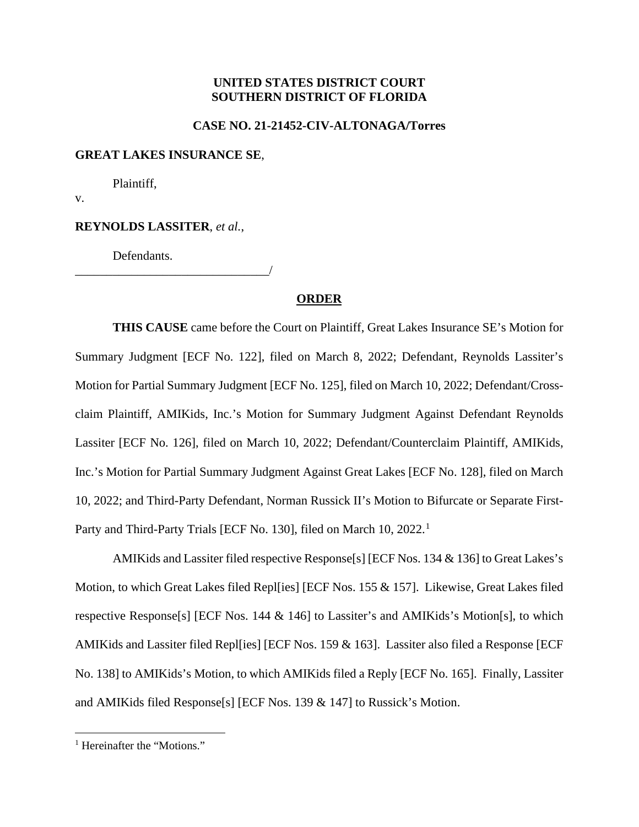# **UNITED STATES DISTRICT COURT SOUTHERN DISTRICT OF FLORIDA**

### **CASE NO. 21-21452-CIV-ALTONAGA/Torres**

#### **GREAT LAKES INSURANCE SE**,

Plaintiff,

v.

# **REYNOLDS LASSITER**, *et al.*,

\_\_\_\_\_\_\_\_\_\_\_\_\_\_\_\_\_\_\_\_\_\_\_\_\_\_\_\_\_\_\_/

Defendants.

### **ORDER**

**THIS CAUSE** came before the Court on Plaintiff, Great Lakes Insurance SE's Motion for Summary Judgment [ECF No. 122], filed on March 8, 2022; Defendant, Reynolds Lassiter's Motion for Partial Summary Judgment [ECF No. 125], filed on March 10, 2022; Defendant/Crossclaim Plaintiff, AMIKids, Inc.'s Motion for Summary Judgment Against Defendant Reynolds Lassiter [ECF No. 126], filed on March 10, 2022; Defendant/Counterclaim Plaintiff, AMIKids, Inc.'s Motion for Partial Summary Judgment Against Great Lakes [ECF No. 128], filed on March 10, 2022; and Third-Party Defendant, Norman Russick II's Motion to Bifurcate or Separate First-Party and Third-Party Trials [ECF No. 130], filed on March 10, 2022.<sup>1</sup>

AMIKids and Lassiter filed respective Response[s] [ECF Nos. 134 & 136] to Great Lakes's Motion, to which Great Lakes filed Repl[ies] [ECF Nos. 155 & 157]. Likewise, Great Lakes filed respective Response[s] [ECF Nos. 144 & 146] to Lassiter's and AMIKids's Motion[s], to which AMIKids and Lassiter filed Repl[ies] [ECF Nos. 159 & 163]. Lassiter also filed a Response [ECF No. 138] to AMIKids's Motion, to which AMIKids filed a Reply [ECF No. 165]. Finally, Lassiter and AMIKids filed Response[s] [ECF Nos. 139 & 147] to Russick's Motion.

<sup>&</sup>lt;sup>1</sup> Hereinafter the "Motions."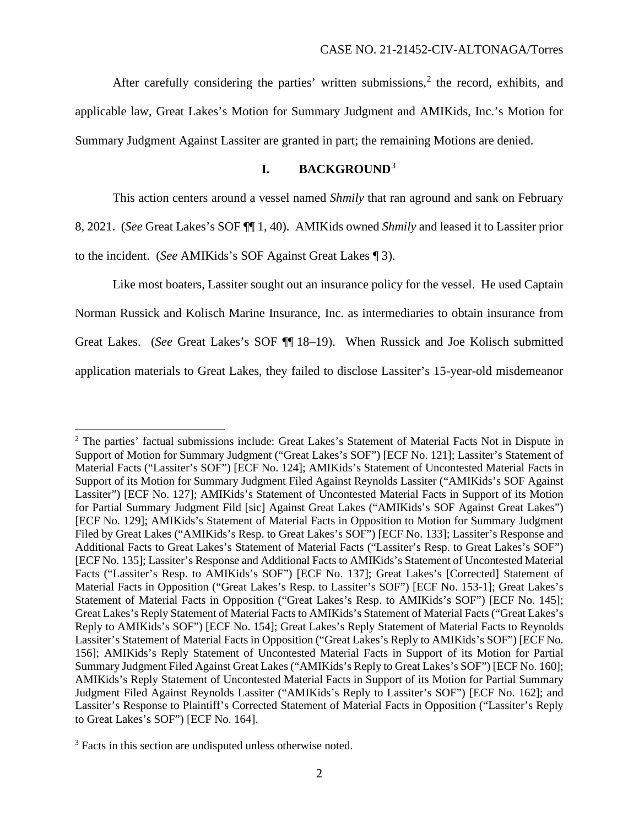After carefully considering the parties' written submissions, $2$  the record, exhibits, and applicable law, Great Lakes's Motion for Summary Judgment and AMIKids, Inc.'s Motion for Summary Judgment Against Lassiter are granted in part; the remaining Motions are denied.

# **I. BACKGROUND**<sup>3</sup>

This action centers around a vessel named *Shmily* that ran aground and sank on February

8, 2021. (*See* Great Lakes's SOF ¶¶ 1, 40). AMIKids owned *Shmily* and leased it to Lassiter prior

to the incident. (*See* AMIKids's SOF Against Great Lakes ¶ 3).

Like most boaters, Lassiter sought out an insurance policy for the vessel. He used Captain Norman Russick and Kolisch Marine Insurance, Inc. as intermediaries to obtain insurance from Great Lakes. (*See* Great Lakes's SOF ¶¶ 18–19). When Russick and Joe Kolisch submitted application materials to Great Lakes, they failed to disclose Lassiter's 15-year-old misdemeanor

<sup>2</sup> The parties' factual submissions include: Great Lakes's Statement of Material Facts Not in Dispute in Support of Motion for Summary Judgment ("Great Lakes's SOF") [ECF No. 121]; Lassiter's Statement of Material Facts ("Lassiter's SOF") [ECF No. 124]; AMIKids's Statement of Uncontested Material Facts in Support of its Motion for Summary Judgment Filed Against Reynolds Lassiter ("AMIKids's SOF Against Lassiter") [ECF No. 127]; AMIKids's Statement of Uncontested Material Facts in Support of its Motion for Partial Summary Judgment Fild [sic] Against Great Lakes ("AMIKids's SOF Against Great Lakes") [ECF No. 129]; AMIKids's Statement of Material Facts in Opposition to Motion for Summary Judgment Filed by Great Lakes ("AMIKids's Resp. to Great Lakes's SOF") [ECF No. 133]; Lassiter's Response and Additional Facts to Great Lakes's Statement of Material Facts ("Lassiter's Resp. to Great Lakes's SOF") [ECF No. 135]; Lassiter's Response and Additional Facts to AMIKids's Statement of Uncontested Material Facts ("Lassiter's Resp. to AMIKids's SOF") [ECF No. 137]; Great Lakes's [Corrected] Statement of Material Facts in Opposition ("Great Lakes's Resp. to Lassiter's SOF") [ECF No. 153-1]; Great Lakes's Statement of Material Facts in Opposition ("Great Lakes's Resp. to AMIKids's SOF") [ECF No. 145]; Great Lakes's Reply Statement of Material Facts to AMIKids's Statement of Material Facts ("Great Lakes's Reply to AMIKids's SOF") [ECF No. 154]; Great Lakes's Reply Statement of Material Facts to Reynolds Lassiter's Statement of Material Facts in Opposition ("Great Lakes's Reply to AMIKids's SOF") [ECF No. 156]; AMIKids's Reply Statement of Uncontested Material Facts in Support of its Motion for Partial Summary Judgment Filed Against Great Lakes("AMIKids's Reply to Great Lakes's SOF") [ECF No. 160]; AMIKids's Reply Statement of Uncontested Material Facts in Support of its Motion for Partial Summary Judgment Filed Against Reynolds Lassiter ("AMIKids's Reply to Lassiter's SOF") [ECF No. 162]; and Lassiter's Response to Plaintiff's Corrected Statement of Material Facts in Opposition ("Lassiter's Reply to Great Lakes's SOF") [ECF No. 164].

<sup>&</sup>lt;sup>3</sup> Facts in this section are undisputed unless otherwise noted.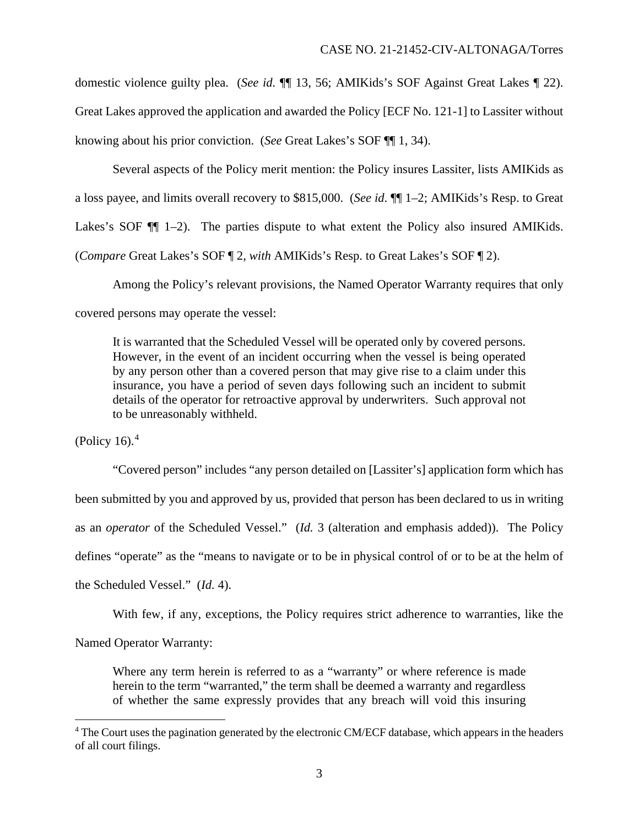domestic violence guilty plea. (*See id.* ¶¶ 13, 56; AMIKids's SOF Against Great Lakes ¶ 22). Great Lakes approved the application and awarded the Policy [ECF No. 121-1] to Lassiter without knowing about his prior conviction. (*See* Great Lakes's SOF ¶¶ 1, 34).

Several aspects of the Policy merit mention: the Policy insures Lassiter, lists AMIKids as a loss payee, and limits overall recovery to \$815,000. (*See id*. ¶¶ 1–2; AMIKids's Resp. to Great Lakes's SOF  $\P$  1–2). The parties dispute to what extent the Policy also insured AMIKids. (*Compare* Great Lakes's SOF ¶ 2, *with* AMIKids's Resp. to Great Lakes's SOF ¶ 2).

Among the Policy's relevant provisions, the Named Operator Warranty requires that only covered persons may operate the vessel:

It is warranted that the Scheduled Vessel will be operated only by covered persons. However, in the event of an incident occurring when the vessel is being operated by any person other than a covered person that may give rise to a claim under this insurance, you have a period of seven days following such an incident to submit details of the operator for retroactive approval by underwriters. Such approval not to be unreasonably withheld.

(Policy 16). $<sup>4</sup>$ </sup>

"Covered person" includes "any person detailed on [Lassiter's] application form which has been submitted by you and approved by us, provided that person has been declared to us in writing as an *operator* of the Scheduled Vessel." (*Id.* 3 (alteration and emphasis added)). The Policy defines "operate" as the "means to navigate or to be in physical control of or to be at the helm of the Scheduled Vessel." (*Id.* 4).

With few, if any, exceptions, the Policy requires strict adherence to warranties, like the

Named Operator Warranty:

Where any term herein is referred to as a "warranty" or where reference is made herein to the term "warranted," the term shall be deemed a warranty and regardless of whether the same expressly provides that any breach will void this insuring

<sup>&</sup>lt;sup>4</sup> The Court uses the pagination generated by the electronic CM/ECF database, which appears in the headers of all court filings.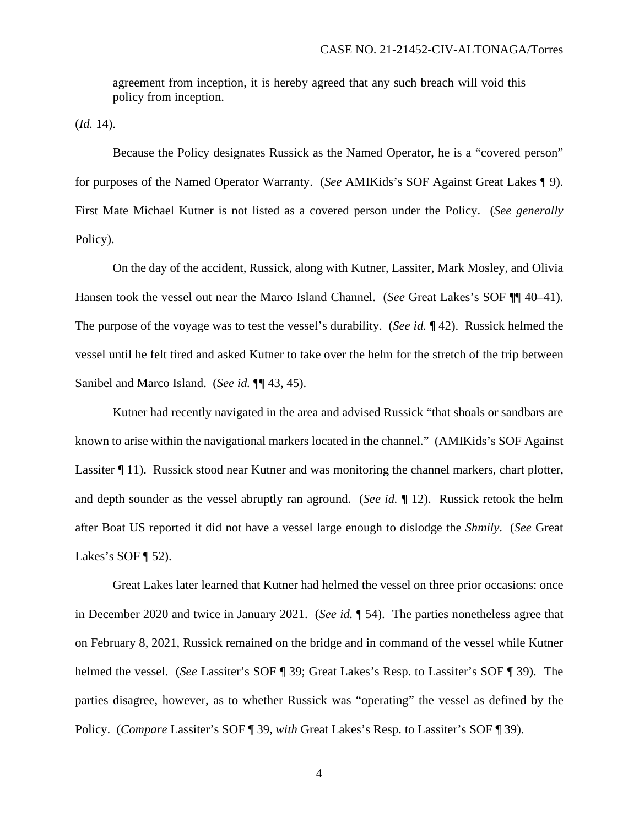agreement from inception, it is hereby agreed that any such breach will void this policy from inception.

 $$ 

Because the Policy designates Russick as the Named Operator, he is a "covered person" for purposes of the Named Operator Warranty. (*See* AMIKids's SOF Against Great Lakes ¶ 9). First Mate Michael Kutner is not listed as a covered person under the Policy. (*See generally* Policy).

On the day of the accident, Russick, along with Kutner, Lassiter, Mark Mosley, and Olivia Hansen took the vessel out near the Marco Island Channel. (*See* Great Lakes's SOF ¶¶ 40–41). The purpose of the voyage was to test the vessel's durability. (*See id.* ¶ 42). Russick helmed the vessel until he felt tired and asked Kutner to take over the helm for the stretch of the trip between Sanibel and Marco Island. (*See id.* ¶¶ 43, 45).

Kutner had recently navigated in the area and advised Russick "that shoals or sandbars are known to arise within the navigational markers located in the channel." (AMIKids's SOF Against Lassiter ¶ 11). Russick stood near Kutner and was monitoring the channel markers, chart plotter, and depth sounder as the vessel abruptly ran aground. (*See id.* ¶ 12). Russick retook the helm after Boat US reported it did not have a vessel large enough to dislodge the *Shmily*. (*See* Great Lakes's SOF  $\P$  52).

Great Lakes later learned that Kutner had helmed the vessel on three prior occasions: once in December 2020 and twice in January 2021. (*See id.* ¶ 54). The parties nonetheless agree that on February 8, 2021, Russick remained on the bridge and in command of the vessel while Kutner helmed the vessel. (*See* Lassiter's SOF ¶ 39; Great Lakes's Resp. to Lassiter's SOF ¶ 39). The parties disagree, however, as to whether Russick was "operating" the vessel as defined by the Policy. (*Compare* Lassiter's SOF ¶ 39, *with* Great Lakes's Resp. to Lassiter's SOF ¶ 39).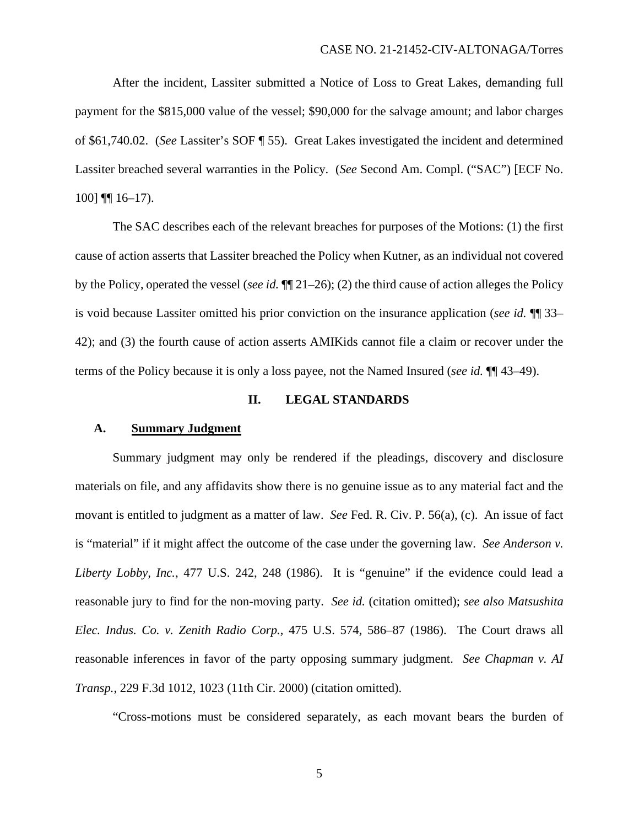After the incident, Lassiter submitted a Notice of Loss to Great Lakes, demanding full payment for the \$815,000 value of the vessel; \$90,000 for the salvage amount; and labor charges of \$61,740.02. (*See* Lassiter's SOF ¶ 55). Great Lakes investigated the incident and determined Lassiter breached several warranties in the Policy. (*See* Second Am. Compl. ("SAC") [ECF No. 100] ¶¶ 16–17).

The SAC describes each of the relevant breaches for purposes of the Motions: (1) the first cause of action asserts that Lassiter breached the Policy when Kutner, as an individual not covered by the Policy, operated the vessel (*see id.* ¶¶ 21–26); (2) the third cause of action alleges the Policy is void because Lassiter omitted his prior conviction on the insurance application (*see id.* ¶¶ 33– 42); and (3) the fourth cause of action asserts AMIKids cannot file a claim or recover under the terms of the Policy because it is only a loss payee, not the Named Insured (*see id.* ¶¶ 43–49).

## **II. LEGAL STANDARDS**

### **A. Summary Judgment**

Summary judgment may only be rendered if the pleadings, discovery and disclosure materials on file, and any affidavits show there is no genuine issue as to any material fact and the movant is entitled to judgment as a matter of law. *See* Fed. R. Civ. P. 56(a), (c). An issue of fact is "material" if it might affect the outcome of the case under the governing law. *See Anderson v. Liberty Lobby, Inc.*, 477 U.S. 242, 248 (1986). It is "genuine" if the evidence could lead a reasonable jury to find for the non-moving party. *See id.* (citation omitted); *see also Matsushita Elec. Indus. Co. v. Zenith Radio Corp.*, 475 U.S. 574, 586–87 (1986). The Court draws all reasonable inferences in favor of the party opposing summary judgment. *See Chapman v. AI Transp.*, 229 F.3d 1012, 1023 (11th Cir. 2000) (citation omitted).

"Cross-motions must be considered separately, as each movant bears the burden of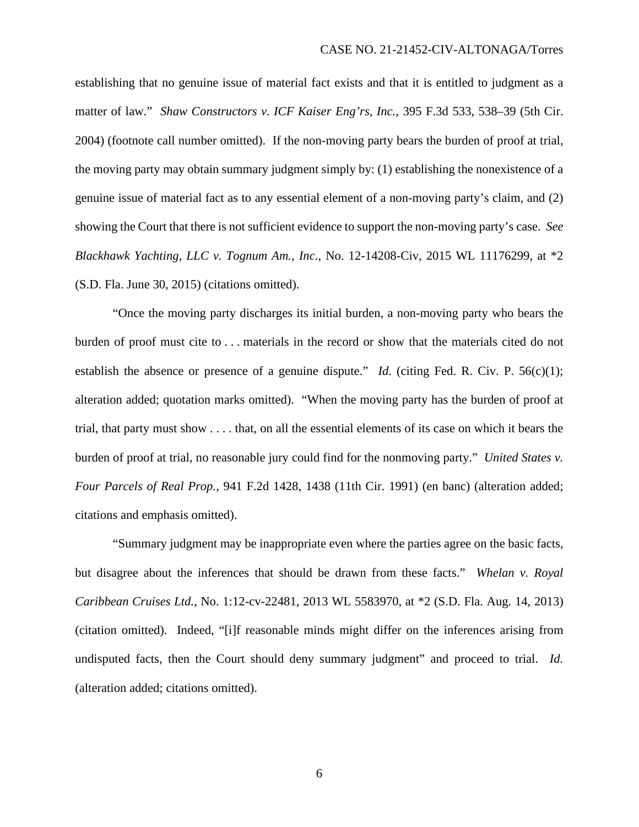establishing that no genuine issue of material fact exists and that it is entitled to judgment as a matter of law." *Shaw Constructors v. ICF Kaiser Eng'rs, Inc.*, 395 F.3d 533, 538–39 (5th Cir. 2004) (footnote call number omitted). If the non-moving party bears the burden of proof at trial, the moving party may obtain summary judgment simply by: (1) establishing the nonexistence of a genuine issue of material fact as to any essential element of a non-moving party's claim, and (2) showing the Court that there is not sufficient evidence to support the non-moving party's case. *See Blackhawk Yachting, LLC v. Tognum Am., Inc*., No. 12-14208-Civ, 2015 WL 11176299, at \*2 (S.D. Fla. June 30, 2015) (citations omitted).

"Once the moving party discharges its initial burden, a non-moving party who bears the burden of proof must cite to . . . materials in the record or show that the materials cited do not establish the absence or presence of a genuine dispute." *Id.* (citing Fed. R. Civ. P. 56(c)(1); alteration added; quotation marks omitted). "When the moving party has the burden of proof at trial, that party must show . . . . that, on all the essential elements of its case on which it bears the burden of proof at trial, no reasonable jury could find for the nonmoving party." *United States v. Four Parcels of Real Prop.*, 941 F.2d 1428, 1438 (11th Cir. 1991) (en banc) (alteration added; citations and emphasis omitted).

"Summary judgment may be inappropriate even where the parties agree on the basic facts, but disagree about the inferences that should be drawn from these facts." *Whelan v. Royal Caribbean Cruises Ltd.*, No. 1:12-cv-22481, 2013 WL 5583970, at \*2 (S.D. Fla. Aug. 14, 2013) (citation omitted). Indeed, "[i]f reasonable minds might differ on the inferences arising from undisputed facts, then the Court should deny summary judgment" and proceed to trial. *Id.* (alteration added; citations omitted).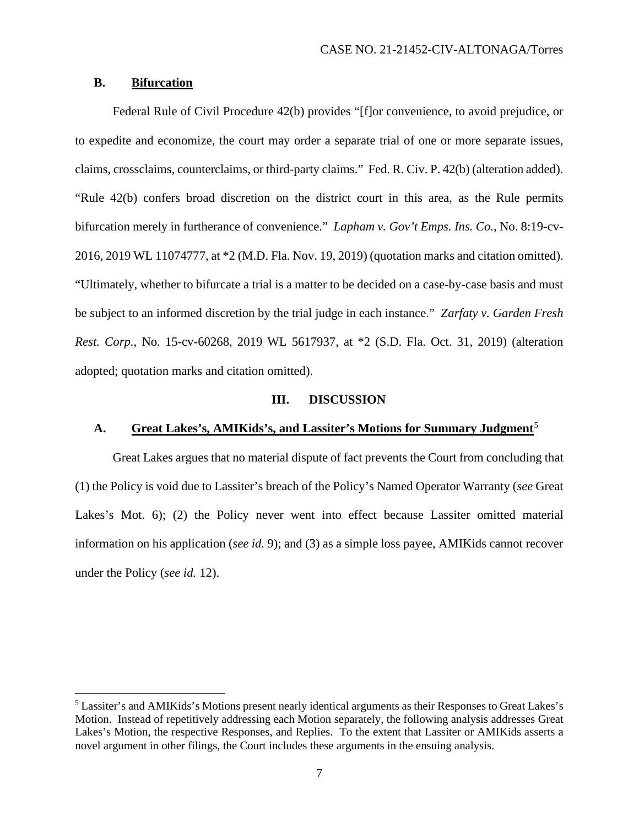## **B. Bifurcation**

Federal Rule of Civil Procedure 42(b) provides "[f]or convenience, to avoid prejudice, or to expedite and economize, the court may order a separate trial of one or more separate issues, claims, crossclaims, counterclaims, or third-party claims." Fed. R. Civ. P. 42(b) (alteration added). "Rule 42(b) confers broad discretion on the district court in this area, as the Rule permits bifurcation merely in furtherance of convenience." *Lapham v. Gov't Emps. Ins. Co.*, No. 8:19-cv-2016, 2019 WL 11074777, at \*2 (M.D. Fla. Nov. 19, 2019) (quotation marks and citation omitted). "Ultimately, whether to bifurcate a trial is a matter to be decided on a case-by-case basis and must be subject to an informed discretion by the trial judge in each instance." *Zarfaty v. Garden Fresh Rest. Corp.*, No. 15-cv-60268, 2019 WL 5617937, at \*2 (S.D. Fla. Oct. 31, 2019) (alteration adopted; quotation marks and citation omitted).

#### **III. DISCUSSION**

# **A. Great Lakes's, AMIKids's, and Lassiter's Motions for Summary Judgment**<sup>5</sup>

Great Lakes argues that no material dispute of fact prevents the Court from concluding that (1) the Policy is void due to Lassiter's breach of the Policy's Named Operator Warranty (*see* Great Lakes's Mot. 6); (2) the Policy never went into effect because Lassiter omitted material information on his application (*see id.* 9); and (3) as a simple loss payee, AMIKids cannot recover under the Policy (*see id.* 12).

<sup>5</sup> Lassiter's and AMIKids's Motions present nearly identical arguments as their Responses to Great Lakes's Motion. Instead of repetitively addressing each Motion separately, the following analysis addresses Great Lakes's Motion, the respective Responses, and Replies. To the extent that Lassiter or AMIKids asserts a novel argument in other filings, the Court includes these arguments in the ensuing analysis.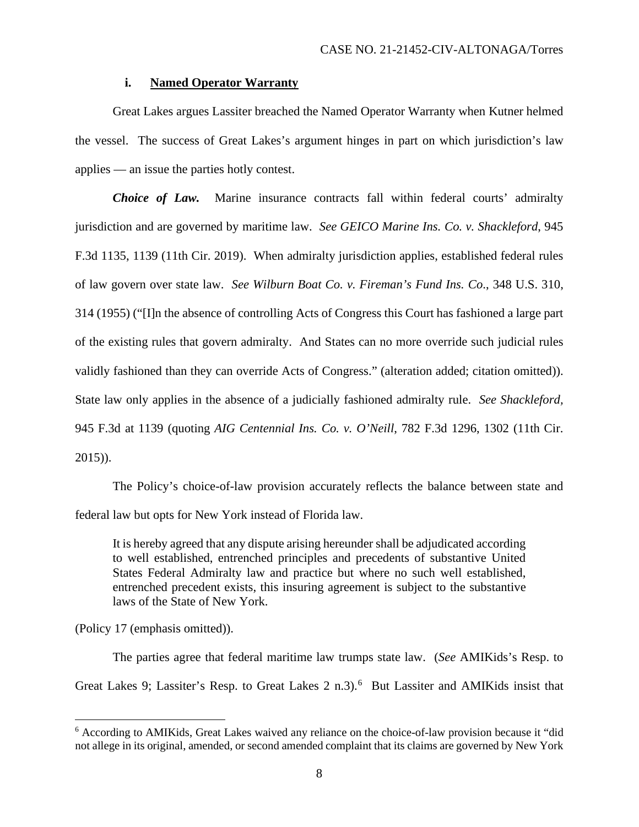### **i. Named Operator Warranty**

Great Lakes argues Lassiter breached the Named Operator Warranty when Kutner helmed the vessel. The success of Great Lakes's argument hinges in part on which jurisdiction's law applies — an issue the parties hotly contest.

*Choice of Law.* Marine insurance contracts fall within federal courts' admiralty jurisdiction and are governed by maritime law. *See GEICO Marine Ins. Co. v. Shackleford*, 945 F.3d 1135, 1139 (11th Cir. 2019). When admiralty jurisdiction applies, established federal rules of law govern over state law. *See Wilburn Boat Co. v. Fireman's Fund Ins. Co*., 348 U.S. 310, 314 (1955) ("[I]n the absence of controlling Acts of Congress this Court has fashioned a large part of the existing rules that govern admiralty. And States can no more override such judicial rules validly fashioned than they can override Acts of Congress." (alteration added; citation omitted)). State law only applies in the absence of a judicially fashioned admiralty rule. *See Shackleford,*  945 F.3d at 1139 (quoting *AIG Centennial Ins. Co. v. O'Neill*, 782 F.3d 1296, 1302 (11th Cir. 2015)).

The Policy's choice-of-law provision accurately reflects the balance between state and federal law but opts for New York instead of Florida law.

It is hereby agreed that any dispute arising hereunder shall be adjudicated according to well established, entrenched principles and precedents of substantive United States Federal Admiralty law and practice but where no such well established, entrenched precedent exists, this insuring agreement is subject to the substantive laws of the State of New York.

(Policy 17 (emphasis omitted)).

The parties agree that federal maritime law trumps state law. (*See* AMIKids's Resp. to Great Lakes 9; Lassiter's Resp. to Great Lakes 2 n.3).<sup>6</sup> But Lassiter and AMIKids insist that

<sup>6</sup> According to AMIKids, Great Lakes waived any reliance on the choice-of-law provision because it "did not allege in its original, amended, or second amended complaint that its claims are governed by New York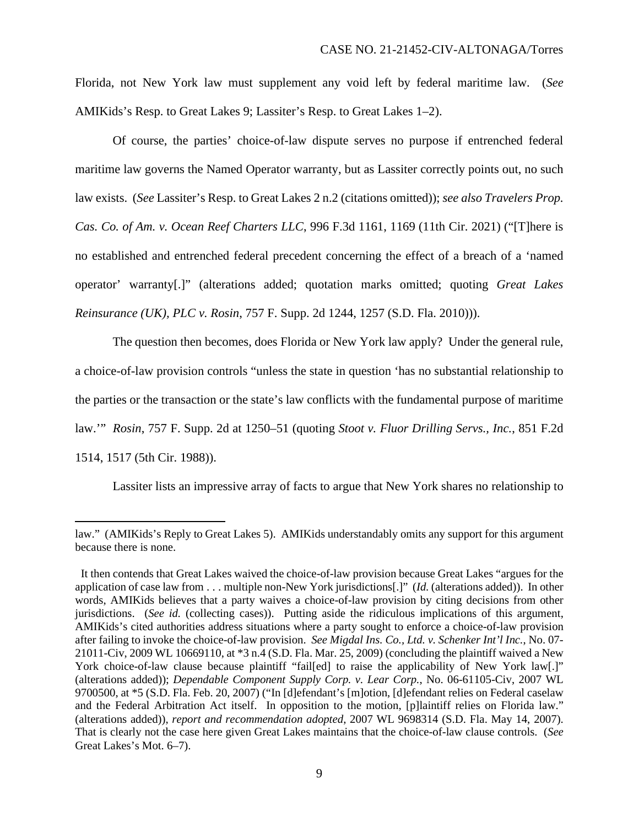Florida, not New York law must supplement any void left by federal maritime law. (*See*  AMIKids's Resp. to Great Lakes 9; Lassiter's Resp. to Great Lakes 1–2).

Of course, the parties' choice-of-law dispute serves no purpose if entrenched federal maritime law governs the Named Operator warranty, but as Lassiter correctly points out, no such law exists. (*See* Lassiter's Resp. to Great Lakes 2 n.2 (citations omitted)); *see also Travelers Prop. Cas. Co. of Am. v. Ocean Reef Charters LLC*, 996 F.3d 1161, 1169 (11th Cir. 2021) ("[T]here is no established and entrenched federal precedent concerning the effect of a breach of a 'named operator' warranty[.]" (alterations added; quotation marks omitted; quoting *Great Lakes Reinsurance (UK), PLC v. Rosin*, 757 F. Supp. 2d 1244, 1257 (S.D. Fla. 2010))).

The question then becomes, does Florida or New York law apply? Under the general rule, a choice-of-law provision controls "unless the state in question 'has no substantial relationship to the parties or the transaction or the state's law conflicts with the fundamental purpose of maritime law.'" *Rosin*, 757 F. Supp. 2d at 1250–51 (quoting *Stoot v. Fluor Drilling Servs., Inc.*, 851 F.2d 1514, 1517 (5th Cir. 1988)).

Lassiter lists an impressive array of facts to argue that New York shares no relationship to

law." (AMIKids's Reply to Great Lakes 5). AMIKids understandably omits any support for this argument because there is none.

It then contends that Great Lakes waived the choice-of-law provision because Great Lakes "argues for the application of case law from . . . multiple non-New York jurisdictions[.]" (*Id.* (alterations added)). In other words, AMIKids believes that a party waives a choice-of-law provision by citing decisions from other jurisdictions. (*See id.* (collecting cases)). Putting aside the ridiculous implications of this argument, AMIKids's cited authorities address situations where a party sought to enforce a choice-of-law provision after failing to invoke the choice-of-law provision. *See Migdal Ins. Co., Ltd. v. Schenker Int'l Inc.*, No. 07- 21011-Civ, 2009 WL 10669110, at \*3 n.4 (S.D. Fla. Mar. 25, 2009) (concluding the plaintiff waived a New York choice-of-law clause because plaintiff "fail[ed] to raise the applicability of New York law[.]" (alterations added)); *Dependable Component Supply Corp. v. Lear Corp.*, No. 06-61105-Civ, 2007 WL 9700500, at \*5 (S.D. Fla. Feb. 20, 2007) ("In [d]efendant's [m]otion, [d]efendant relies on Federal caselaw and the Federal Arbitration Act itself. In opposition to the motion, [p]laintiff relies on Florida law." (alterations added)), *report and recommendation adopted*, 2007 WL 9698314 (S.D. Fla. May 14, 2007). That is clearly not the case here given Great Lakes maintains that the choice-of-law clause controls. (*See*  Great Lakes's Mot. 6–7).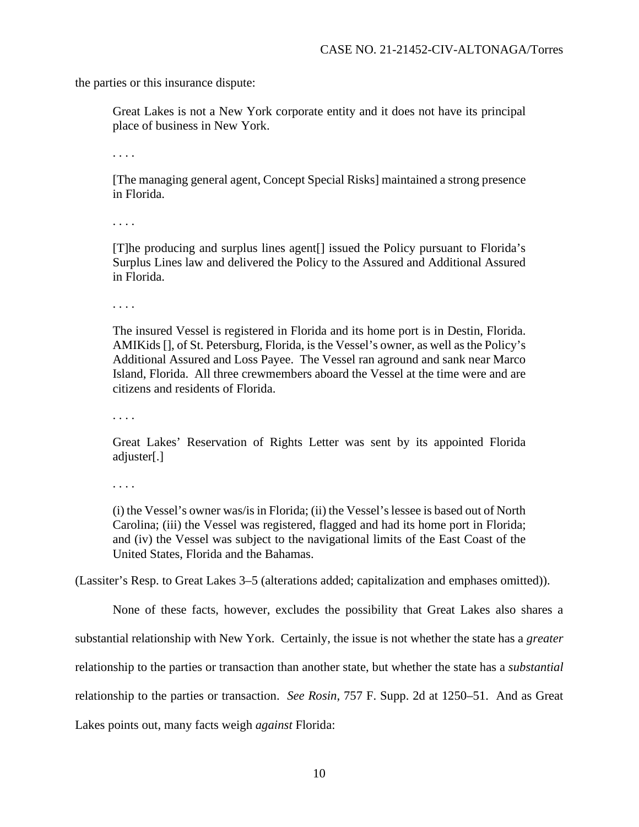the parties or this insurance dispute:

Great Lakes is not a New York corporate entity and it does not have its principal place of business in New York.

. . . .

[The managing general agent, Concept Special Risks] maintained a strong presence in Florida.

. . . .

[T]he producing and surplus lines agent[] issued the Policy pursuant to Florida's Surplus Lines law and delivered the Policy to the Assured and Additional Assured in Florida.

. . . .

The insured Vessel is registered in Florida and its home port is in Destin, Florida. AMIKids [], of St. Petersburg, Florida, is the Vessel's owner, as well as the Policy's Additional Assured and Loss Payee. The Vessel ran aground and sank near Marco Island, Florida. All three crewmembers aboard the Vessel at the time were and are citizens and residents of Florida.

. . . .

Great Lakes' Reservation of Rights Letter was sent by its appointed Florida adjuster[.]

. . . .

(i) the Vessel's owner was/is in Florida; (ii) the Vessel's lessee is based out of North Carolina; (iii) the Vessel was registered, flagged and had its home port in Florida; and (iv) the Vessel was subject to the navigational limits of the East Coast of the United States, Florida and the Bahamas.

(Lassiter's Resp. to Great Lakes 3–5 (alterations added; capitalization and emphases omitted)).

None of these facts, however, excludes the possibility that Great Lakes also shares a

substantial relationship with New York. Certainly, the issue is not whether the state has a *greater*

relationship to the parties or transaction than another state, but whether the state has a *substantial*

relationship to the parties or transaction. *See Rosin*, 757 F. Supp. 2d at 1250–51. And as Great

Lakes points out, many facts weigh *against* Florida: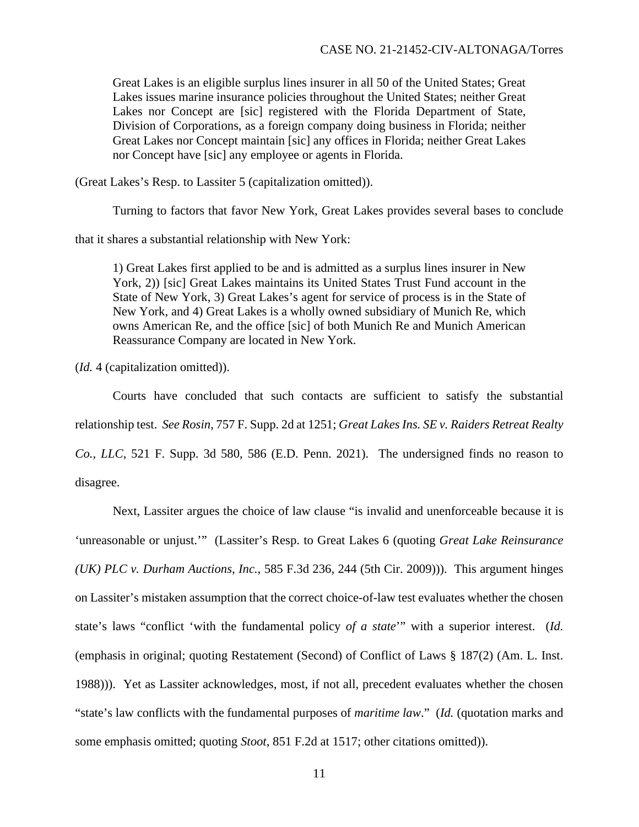Great Lakes is an eligible surplus lines insurer in all 50 of the United States; Great Lakes issues marine insurance policies throughout the United States; neither Great Lakes nor Concept are [sic] registered with the Florida Department of State, Division of Corporations, as a foreign company doing business in Florida; neither Great Lakes nor Concept maintain [sic] any offices in Florida; neither Great Lakes nor Concept have [sic] any employee or agents in Florida.

(Great Lakes's Resp. to Lassiter 5 (capitalization omitted)).

Turning to factors that favor New York, Great Lakes provides several bases to conclude

that it shares a substantial relationship with New York:

1) Great Lakes first applied to be and is admitted as a surplus lines insurer in New York, 2)) [sic] Great Lakes maintains its United States Trust Fund account in the State of New York, 3) Great Lakes's agent for service of process is in the State of New York, and 4) Great Lakes is a wholly owned subsidiary of Munich Re, which owns American Re, and the office [sic] of both Munich Re and Munich American Reassurance Company are located in New York.

(*Id.* 4 (capitalization omitted)).

Courts have concluded that such contacts are sufficient to satisfy the substantial relationship test. *See Rosin*, 757 F. Supp. 2d at 1251; *Great Lakes Ins. SE v. Raiders Retreat Realty Co., LLC*, 521 F. Supp. 3d 580, 586 (E.D. Penn. 2021). The undersigned finds no reason to disagree.

Next, Lassiter argues the choice of law clause "is invalid and unenforceable because it is 'unreasonable or unjust.'" (Lassiter's Resp. to Great Lakes 6 (quoting *Great Lake Reinsurance (UK) PLC v. Durham Auctions, Inc.*, 585 F.3d 236, 244 (5th Cir. 2009))). This argument hinges on Lassiter's mistaken assumption that the correct choice-of-law test evaluates whether the chosen state's laws "conflict 'with the fundamental policy *of a state*'" with a superior interest. (*Id.* (emphasis in original; quoting Restatement (Second) of Conflict of Laws § 187(2) (Am. L. Inst. 1988))). Yet as Lassiter acknowledges, most, if not all, precedent evaluates whether the chosen "state's law conflicts with the fundamental purposes of *maritime law*." (*Id.* (quotation marks and some emphasis omitted; quoting *Stoot*, 851 F.2d at 1517; other citations omitted)).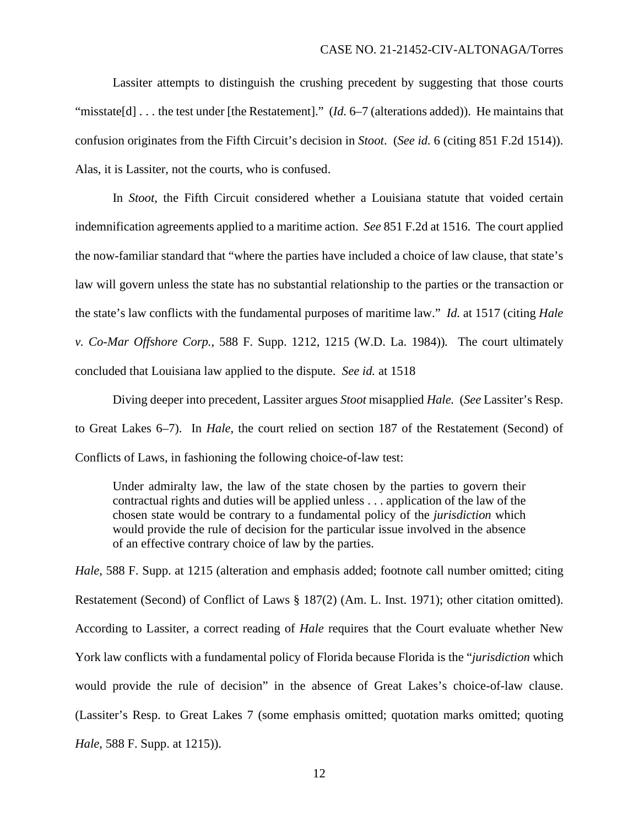Lassiter attempts to distinguish the crushing precedent by suggesting that those courts "misstate[d] . . . the test under [the Restatement]." (*Id.* 6–7 (alterations added)). He maintains that confusion originates from the Fifth Circuit's decision in *Stoot*. (*See id.* 6 (citing 851 F.2d 1514)). Alas, it is Lassiter, not the courts, who is confused.

In *Stoot*, the Fifth Circuit considered whether a Louisiana statute that voided certain indemnification agreements applied to a maritime action. *See* 851 F.2d at 1516. The court applied the now-familiar standard that "where the parties have included a choice of law clause, that state's law will govern unless the state has no substantial relationship to the parties or the transaction or the state's law conflicts with the fundamental purposes of maritime law." *Id.* at 1517 (citing *Hale v. Co-Mar Offshore Corp.*, 588 F. Supp. 1212, 1215 (W.D. La. 1984))*.* The court ultimately concluded that Louisiana law applied to the dispute. *See id.* at 1518

Diving deeper into precedent, Lassiter argues *Stoot* misapplied *Hale.* (*See* Lassiter's Resp. to Great Lakes 6–7). In *Hale*, the court relied on section 187 of the Restatement (Second) of Conflicts of Laws, in fashioning the following choice-of-law test:

Under admiralty law, the law of the state chosen by the parties to govern their contractual rights and duties will be applied unless . . . application of the law of the chosen state would be contrary to a fundamental policy of the *jurisdiction* which would provide the rule of decision for the particular issue involved in the absence of an effective contrary choice of law by the parties.

*Hale*, 588 F. Supp. at 1215 (alteration and emphasis added; footnote call number omitted; citing Restatement (Second) of Conflict of Laws § 187(2) (Am. L. Inst. 1971); other citation omitted). According to Lassiter, a correct reading of *Hale* requires that the Court evaluate whether New York law conflicts with a fundamental policy of Florida because Florida is the "*jurisdiction* which would provide the rule of decision" in the absence of Great Lakes's choice-of-law clause. (Lassiter's Resp. to Great Lakes 7 (some emphasis omitted; quotation marks omitted; quoting *Hale*, 588 F. Supp. at 1215)).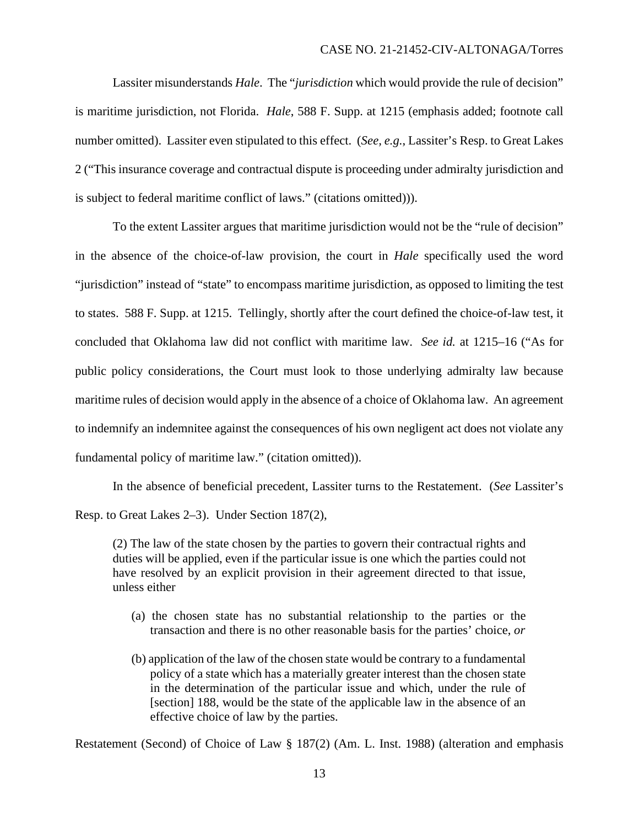Lassiter misunderstands *Hale*. The "*jurisdiction* which would provide the rule of decision" is maritime jurisdiction, not Florida. *Hale*, 588 F. Supp. at 1215 (emphasis added; footnote call number omitted). Lassiter even stipulated to this effect. (*See, e.g.*, Lassiter's Resp. to Great Lakes 2 ("This insurance coverage and contractual dispute is proceeding under admiralty jurisdiction and is subject to federal maritime conflict of laws." (citations omitted))).

To the extent Lassiter argues that maritime jurisdiction would not be the "rule of decision" in the absence of the choice-of-law provision, the court in *Hale* specifically used the word "jurisdiction" instead of "state" to encompass maritime jurisdiction, as opposed to limiting the test to states. 588 F. Supp. at 1215. Tellingly, shortly after the court defined the choice-of-law test, it concluded that Oklahoma law did not conflict with maritime law. *See id.* at 1215–16 ("As for public policy considerations, the Court must look to those underlying admiralty law because maritime rules of decision would apply in the absence of a choice of Oklahoma law. An agreement to indemnify an indemnitee against the consequences of his own negligent act does not violate any fundamental policy of maritime law." (citation omitted)).

In the absence of beneficial precedent, Lassiter turns to the Restatement. (*See* Lassiter's Resp. to Great Lakes 2–3). Under Section 187(2),

(2) The law of the state chosen by the parties to govern their contractual rights and duties will be applied, even if the particular issue is one which the parties could not have resolved by an explicit provision in their agreement directed to that issue, unless either

- (a) the chosen state has no substantial relationship to the parties or the transaction and there is no other reasonable basis for the parties' choice, *or*
- (b) application of the law of the chosen state would be contrary to a fundamental policy of a state which has a materially greater interest than the chosen state in the determination of the particular issue and which, under the rule of [section] 188, would be the state of the applicable law in the absence of an effective choice of law by the parties.

Restatement (Second) of Choice of Law § 187(2) (Am. L. Inst. 1988) (alteration and emphasis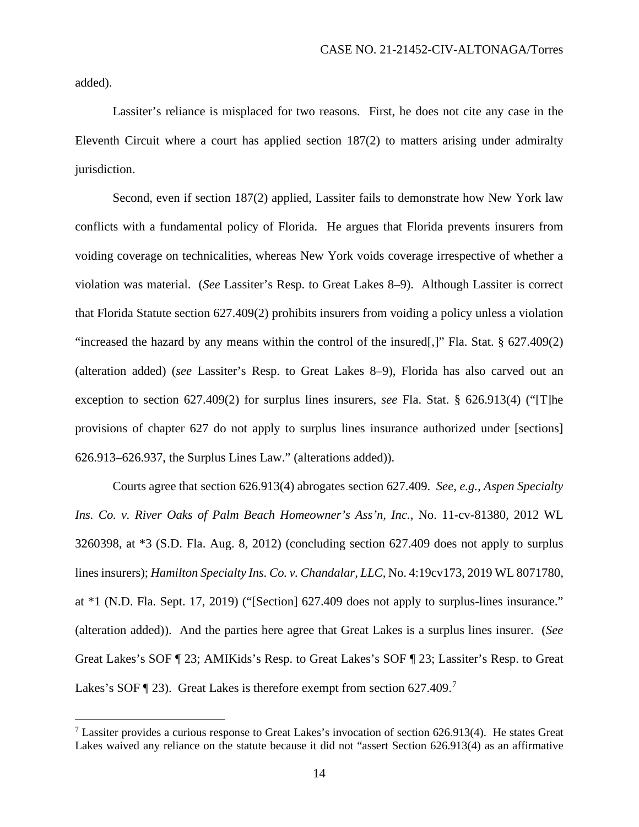added).

Lassiter's reliance is misplaced for two reasons. First, he does not cite any case in the Eleventh Circuit where a court has applied section 187(2) to matters arising under admiralty jurisdiction.

Second, even if section 187(2) applied, Lassiter fails to demonstrate how New York law conflicts with a fundamental policy of Florida. He argues that Florida prevents insurers from voiding coverage on technicalities, whereas New York voids coverage irrespective of whether a violation was material. (*See* Lassiter's Resp. to Great Lakes 8–9). Although Lassiter is correct that Florida Statute section 627.409(2) prohibits insurers from voiding a policy unless a violation "increased the hazard by any means within the control of the insured[,]" Fla. Stat.  $\S$  627.409(2) (alteration added) (*see* Lassiter's Resp. to Great Lakes 8–9), Florida has also carved out an exception to section 627.409(2) for surplus lines insurers, *see* Fla. Stat. § 626.913(4) ("[T]he provisions of chapter 627 do not apply to surplus lines insurance authorized under [sections] 626.913–626.937, the Surplus Lines Law." (alterations added)).

Courts agree that section 626.913(4) abrogates section 627.409. *See, e.g.*, *Aspen Specialty Ins. Co. v. River Oaks of Palm Beach Homeowner's Ass'n, Inc.*, No. 11-cv-81380, 2012 WL 3260398, at \*3 (S.D. Fla. Aug. 8, 2012) (concluding section 627.409 does not apply to surplus lines insurers); *Hamilton Specialty Ins. Co. v. Chandalar, LLC*, No. 4:19cv173, 2019 WL 8071780, at \*1 (N.D. Fla. Sept. 17, 2019) ("[Section] 627.409 does not apply to surplus-lines insurance." (alteration added)). And the parties here agree that Great Lakes is a surplus lines insurer. (*See*  Great Lakes's SOF ¶ 23; AMIKids's Resp. to Great Lakes's SOF ¶ 23; Lassiter's Resp. to Great Lakes's SOF  $\P$  23). Great Lakes is therefore exempt from section 627.409.<sup>7</sup>

 $<sup>7</sup>$  Lassiter provides a curious response to Great Lakes's invocation of section 626.913(4). He states Great</sup> Lakes waived any reliance on the statute because it did not "assert Section 626.913(4) as an affirmative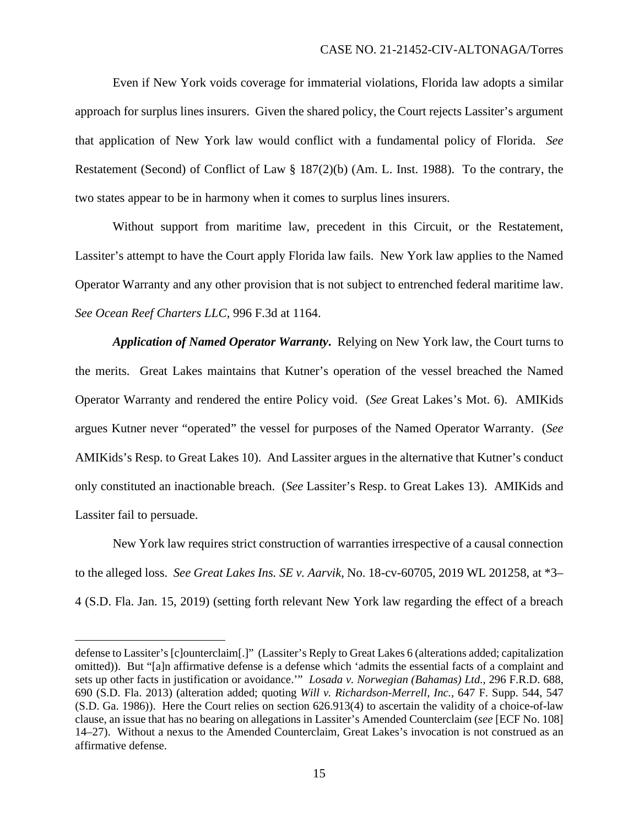Even if New York voids coverage for immaterial violations, Florida law adopts a similar approach for surplus lines insurers. Given the shared policy, the Court rejects Lassiter's argument that application of New York law would conflict with a fundamental policy of Florida. *See*  Restatement (Second) of Conflict of Law § 187(2)(b) (Am. L. Inst. 1988). To the contrary, the two states appear to be in harmony when it comes to surplus lines insurers.

Without support from maritime law, precedent in this Circuit, or the Restatement, Lassiter's attempt to have the Court apply Florida law fails. New York law applies to the Named Operator Warranty and any other provision that is not subject to entrenched federal maritime law. *See Ocean Reef Charters LLC*, 996 F.3d at 1164.

*Application of Named Operator Warranty***.** Relying on New York law, the Court turns to the merits. Great Lakes maintains that Kutner's operation of the vessel breached the Named Operator Warranty and rendered the entire Policy void. (*See* Great Lakes's Mot. 6). AMIKids argues Kutner never "operated" the vessel for purposes of the Named Operator Warranty. (*See*  AMIKids's Resp. to Great Lakes 10). And Lassiter argues in the alternative that Kutner's conduct only constituted an inactionable breach. (*See* Lassiter's Resp. to Great Lakes 13). AMIKids and Lassiter fail to persuade.

New York law requires strict construction of warranties irrespective of a causal connection to the alleged loss. *See Great Lakes Ins. SE v. Aarvik*, No. 18-cv-60705, 2019 WL 201258, at \*3– 4 (S.D. Fla. Jan. 15, 2019) (setting forth relevant New York law regarding the effect of a breach

defense to Lassiter's [c]ounterclaim[.]" (Lassiter's Reply to Great Lakes 6 (alterations added; capitalization omitted)). But "[a]n affirmative defense is a defense which 'admits the essential facts of a complaint and sets up other facts in justification or avoidance.'" *Losada v. Norwegian (Bahamas) Ltd.*, 296 F.R.D. 688, 690 (S.D. Fla. 2013) (alteration added; quoting *Will v. Richardson-Merrell, Inc.*, 647 F. Supp. 544, 547 (S.D. Ga. 1986)). Here the Court relies on section 626.913(4) to ascertain the validity of a choice-of-law clause, an issue that has no bearing on allegations in Lassiter's Amended Counterclaim (*see* [ECF No. 108] 14–27). Without a nexus to the Amended Counterclaim, Great Lakes's invocation is not construed as an affirmative defense.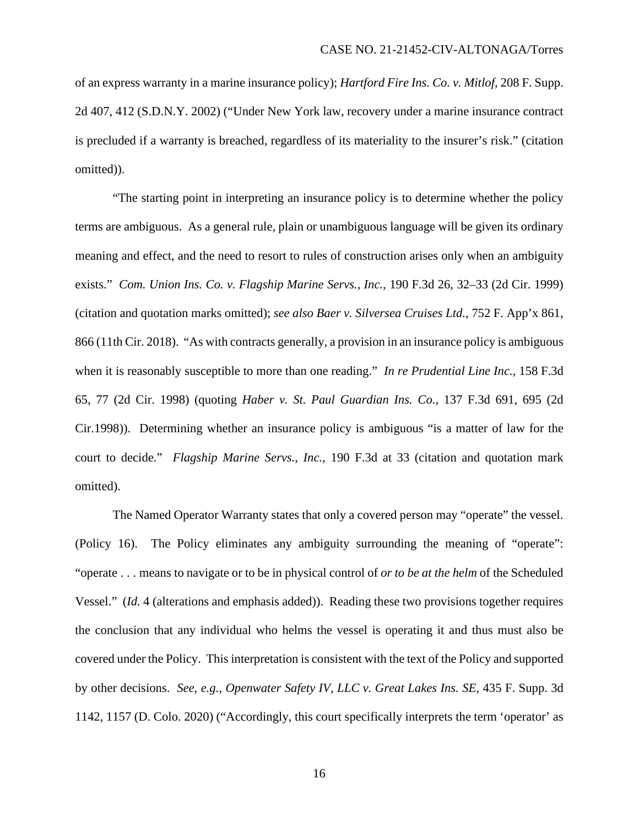of an express warranty in a marine insurance policy); *Hartford Fire Ins. Co. v. Mitlof*, 208 F. Supp. 2d 407, 412 (S.D.N.Y. 2002) ("Under New York law, recovery under a marine insurance contract is precluded if a warranty is breached, regardless of its materiality to the insurer's risk." (citation omitted)).

"The starting point in interpreting an insurance policy is to determine whether the policy terms are ambiguous. As a general rule, plain or unambiguous language will be given its ordinary meaning and effect, and the need to resort to rules of construction arises only when an ambiguity exists." *Com. Union Ins. Co. v. Flagship Marine Servs., Inc.*, 190 F.3d 26, 32–33 (2d Cir. 1999) (citation and quotation marks omitted); *see also Baer v. Silversea Cruises Ltd.*, 752 F. App'x 861, 866 (11th Cir. 2018). "As with contracts generally, a provision in an insurance policy is ambiguous when it is reasonably susceptible to more than one reading." *In re Prudential Line Inc.*, 158 F.3d 65, 77 (2d Cir. 1998) (quoting *Haber v. St. Paul Guardian Ins. Co.*, 137 F.3d 691, 695 (2d Cir.1998)). Determining whether an insurance policy is ambiguous "is a matter of law for the court to decide." *Flagship Marine Servs., Inc.*, 190 F.3d at 33 (citation and quotation mark omitted).

The Named Operator Warranty states that only a covered person may "operate" the vessel. (Policy 16). The Policy eliminates any ambiguity surrounding the meaning of "operate": "operate . . . means to navigate or to be in physical control of *or to be at the helm* of the Scheduled Vessel." (*Id.* 4 (alterations and emphasis added)). Reading these two provisions together requires the conclusion that any individual who helms the vessel is operating it and thus must also be covered under the Policy. This interpretation is consistent with the text of the Policy and supported by other decisions. *See, e.g.*, *Openwater Safety IV, LLC v. Great Lakes Ins. SE*, 435 F. Supp. 3d 1142, 1157 (D. Colo. 2020) ("Accordingly, this court specifically interprets the term 'operator' as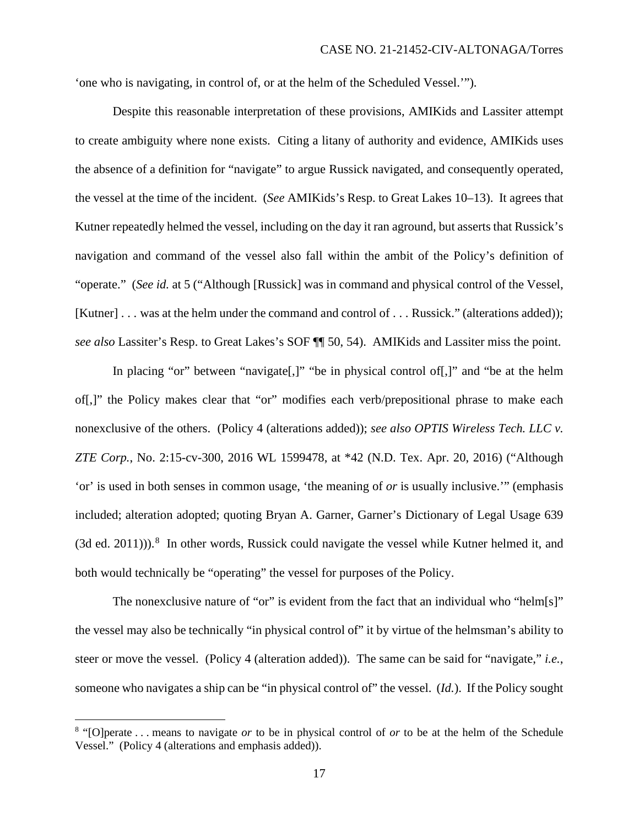'one who is navigating, in control of, or at the helm of the Scheduled Vessel.'").

Despite this reasonable interpretation of these provisions, AMIKids and Lassiter attempt to create ambiguity where none exists. Citing a litany of authority and evidence, AMIKids uses the absence of a definition for "navigate" to argue Russick navigated, and consequently operated, the vessel at the time of the incident. (*See* AMIKids's Resp. to Great Lakes 10–13). It agrees that Kutner repeatedly helmed the vessel, including on the day it ran aground, but asserts that Russick's navigation and command of the vessel also fall within the ambit of the Policy's definition of "operate." (*See id.* at 5 ("Although [Russick] was in command and physical control of the Vessel, [Kutner] . . . was at the helm under the command and control of . . . Russick." (alterations added)); *see also* Lassiter's Resp. to Great Lakes's SOF ¶¶ 50, 54). AMIKids and Lassiter miss the point.

In placing "or" between "navigate[,]" "be in physical control of[,]" and "be at the helm of[,]" the Policy makes clear that "or" modifies each verb/prepositional phrase to make each nonexclusive of the others. (Policy 4 (alterations added)); *see also OPTIS Wireless Tech. LLC v. ZTE Corp.*, No. 2:15-cv-300, 2016 WL 1599478, at \*42 (N.D. Tex. Apr. 20, 2016) ("Although 'or' is used in both senses in common usage, 'the meaning of *or* is usually inclusive.'" (emphasis included; alteration adopted; quoting Bryan A. Garner, Garner's Dictionary of Legal Usage 639  $(3d$  ed.  $2011)$ )).<sup>8</sup> In other words, Russick could navigate the vessel while Kutner helmed it, and both would technically be "operating" the vessel for purposes of the Policy.

The nonexclusive nature of "or" is evident from the fact that an individual who "helm[s]" the vessel may also be technically "in physical control of" it by virtue of the helmsman's ability to steer or move the vessel. (Policy 4 (alteration added)). The same can be said for "navigate," *i.e.*, someone who navigates a ship can be "in physical control of" the vessel. (*Id.*).If the Policy sought

<sup>8</sup> "[O]perate . . . means to navigate *or* to be in physical control of *or* to be at the helm of the Schedule Vessel." (Policy 4 (alterations and emphasis added)).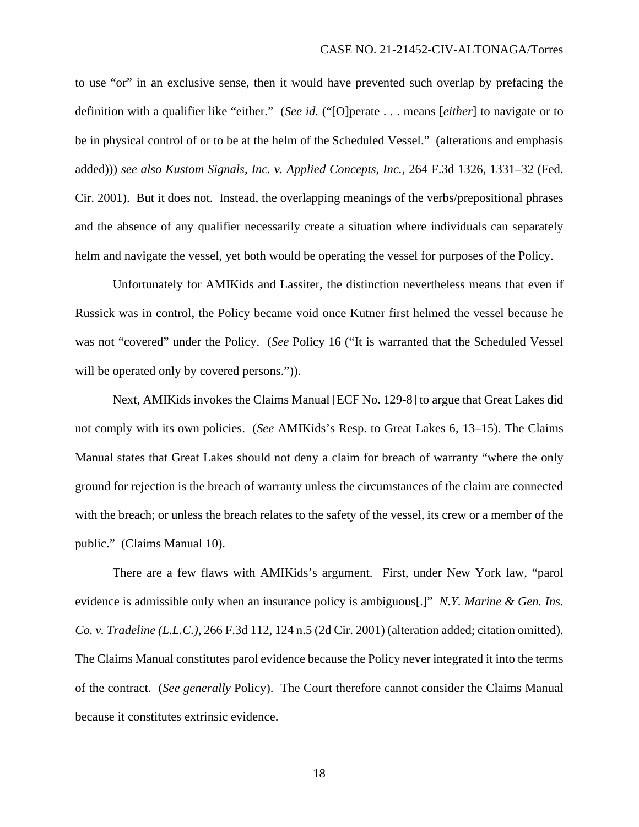to use "or" in an exclusive sense, then it would have prevented such overlap by prefacing the definition with a qualifier like "either." (*See id.* ("[O]perate . . . means [*either*] to navigate or to be in physical control of or to be at the helm of the Scheduled Vessel." (alterations and emphasis added))) *see also Kustom Signals, Inc. v. Applied Concepts, Inc.*, 264 F.3d 1326, 1331–32 (Fed. Cir. 2001). But it does not. Instead, the overlapping meanings of the verbs/prepositional phrases and the absence of any qualifier necessarily create a situation where individuals can separately helm and navigate the vessel, yet both would be operating the vessel for purposes of the Policy.

Unfortunately for AMIKids and Lassiter, the distinction nevertheless means that even if Russick was in control, the Policy became void once Kutner first helmed the vessel because he was not "covered" under the Policy. (*See* Policy 16 ("It is warranted that the Scheduled Vessel will be operated only by covered persons.").

Next, AMIKids invokes the Claims Manual [ECF No. 129-8] to argue that Great Lakes did not comply with its own policies. (*See* AMIKids's Resp. to Great Lakes 6, 13–15). The Claims Manual states that Great Lakes should not deny a claim for breach of warranty "where the only ground for rejection is the breach of warranty unless the circumstances of the claim are connected with the breach; or unless the breach relates to the safety of the vessel, its crew or a member of the public." (Claims Manual 10).

There are a few flaws with AMIKids's argument. First, under New York law, "parol evidence is admissible only when an insurance policy is ambiguous[.]" *N.Y. Marine & Gen. Ins. Co. v. Tradeline (L.L.C.)*, 266 F.3d 112, 124 n.5 (2d Cir. 2001) (alteration added; citation omitted). The Claims Manual constitutes parol evidence because the Policy never integrated it into the terms of the contract. (*See generally* Policy). The Court therefore cannot consider the Claims Manual because it constitutes extrinsic evidence.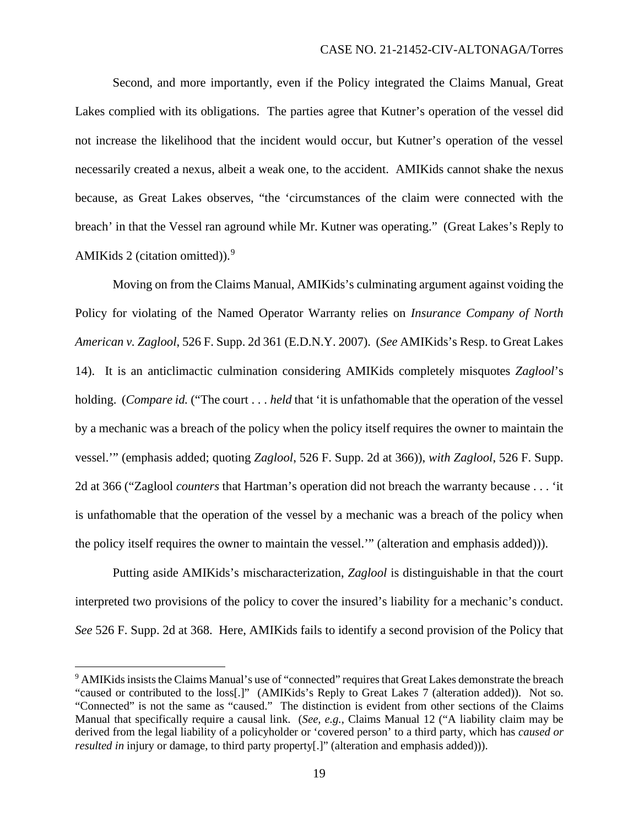Second, and more importantly, even if the Policy integrated the Claims Manual, Great Lakes complied with its obligations. The parties agree that Kutner's operation of the vessel did not increase the likelihood that the incident would occur, but Kutner's operation of the vessel necessarily created a nexus, albeit a weak one, to the accident. AMIKids cannot shake the nexus because, as Great Lakes observes, "the 'circumstances of the claim were connected with the breach' in that the Vessel ran aground while Mr. Kutner was operating." (Great Lakes's Reply to AMIKids 2 (citation omitted)). $9$ 

Moving on from the Claims Manual, AMIKids's culminating argument against voiding the Policy for violating of the Named Operator Warranty relies on *Insurance Company of North American v. Zaglool*, 526 F. Supp. 2d 361 (E.D.N.Y. 2007). (*See* AMIKids's Resp. to Great Lakes 14). It is an anticlimactic culmination considering AMIKids completely misquotes *Zaglool*'s holding. (*Compare id.* ("The court . . . *held* that 'it is unfathomable that the operation of the vessel by a mechanic was a breach of the policy when the policy itself requires the owner to maintain the vessel.'" (emphasis added; quoting *Zaglool*, 526 F. Supp. 2d at 366)), *with Zaglool*, 526 F. Supp. 2d at 366 ("Zaglool *counters* that Hartman's operation did not breach the warranty because . . . 'it is unfathomable that the operation of the vessel by a mechanic was a breach of the policy when the policy itself requires the owner to maintain the vessel.'" (alteration and emphasis added))).

Putting aside AMIKids's mischaracterization, *Zaglool* is distinguishable in that the court interpreted two provisions of the policy to cover the insured's liability for a mechanic's conduct. *See* 526 F. Supp. 2d at 368. Here, AMIKids fails to identify a second provision of the Policy that

<sup>&</sup>lt;sup>9</sup> AMIKids insists the Claims Manual's use of "connected" requires that Great Lakes demonstrate the breach "caused or contributed to the loss[.]" (AMIKids's Reply to Great Lakes 7 (alteration added)). Not so. "Connected" is not the same as "caused." The distinction is evident from other sections of the Claims Manual that specifically require a causal link. (*See, e.g.*, Claims Manual 12 ("A liability claim may be derived from the legal liability of a policyholder or 'covered person' to a third party, which has *caused or resulted in* injury or damage, to third party property[.]" (alteration and emphasis added))).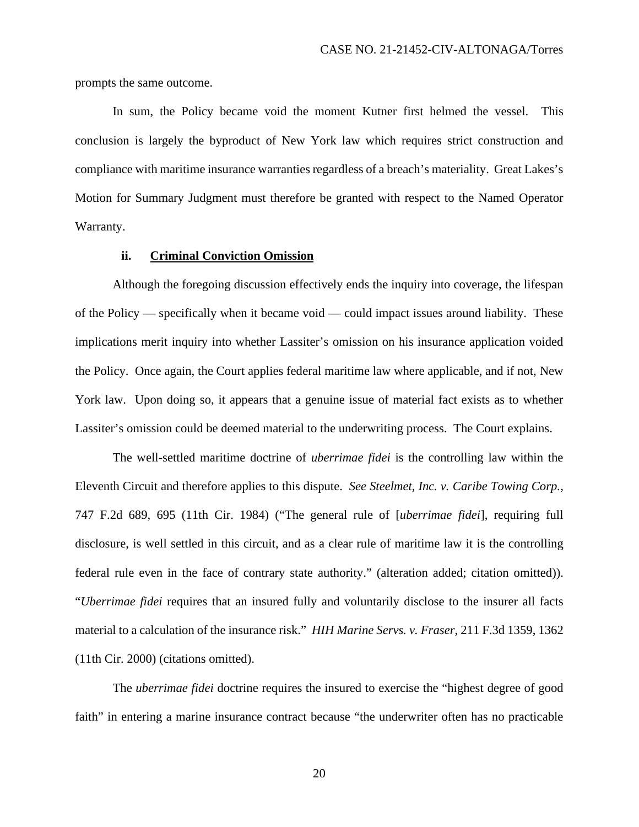prompts the same outcome.

In sum, the Policy became void the moment Kutner first helmed the vessel. This conclusion is largely the byproduct of New York law which requires strict construction and compliance with maritime insurance warranties regardless of a breach's materiality. Great Lakes's Motion for Summary Judgment must therefore be granted with respect to the Named Operator Warranty.

# **ii. Criminal Conviction Omission**

Although the foregoing discussion effectively ends the inquiry into coverage, the lifespan of the Policy — specifically when it became void — could impact issues around liability. These implications merit inquiry into whether Lassiter's omission on his insurance application voided the Policy. Once again, the Court applies federal maritime law where applicable, and if not, New York law. Upon doing so, it appears that a genuine issue of material fact exists as to whether Lassiter's omission could be deemed material to the underwriting process. The Court explains.

The well-settled maritime doctrine of *uberrimae fidei* is the controlling law within the Eleventh Circuit and therefore applies to this dispute. *See Steelmet, Inc. v. Caribe Towing Corp.*, 747 F.2d 689, 695 (11th Cir. 1984) ("The general rule of [*uberrimae fidei*], requiring full disclosure, is well settled in this circuit, and as a clear rule of maritime law it is the controlling federal rule even in the face of contrary state authority." (alteration added; citation omitted)). "*Uberrimae fidei* requires that an insured fully and voluntarily disclose to the insurer all facts material to a calculation of the insurance risk." *HIH Marine Servs. v. Fraser*, 211 F.3d 1359, 1362 (11th Cir. 2000) (citations omitted).

The *uberrimae fidei* doctrine requires the insured to exercise the "highest degree of good faith" in entering a marine insurance contract because "the underwriter often has no practicable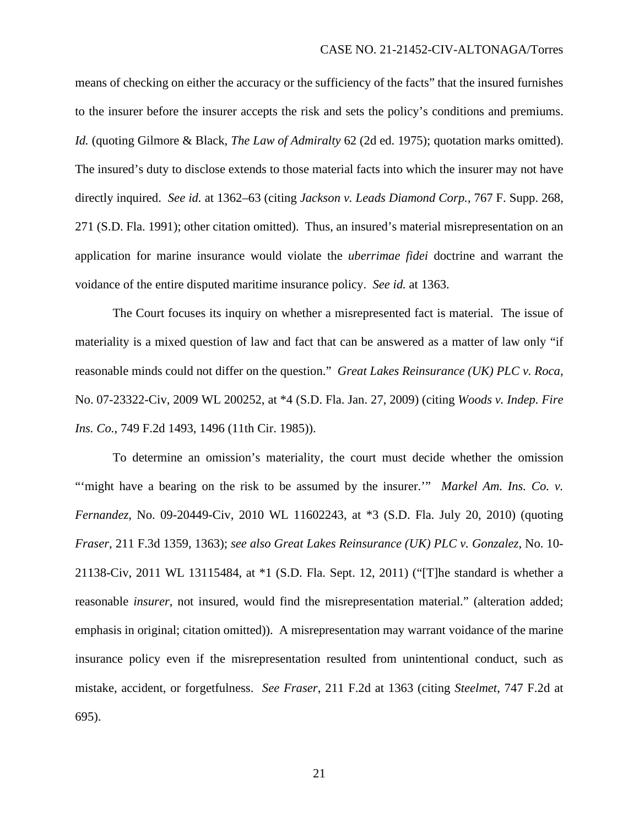means of checking on either the accuracy or the sufficiency of the facts" that the insured furnishes to the insurer before the insurer accepts the risk and sets the policy's conditions and premiums. *Id.* (quoting Gilmore & Black, *The Law of Admiralty* 62 (2d ed. 1975); quotation marks omitted). The insured's duty to disclose extends to those material facts into which the insurer may not have directly inquired. *See id.* at 1362–63 (citing *Jackson v. Leads Diamond Corp.*, 767 F. Supp. 268, 271 (S.D. Fla. 1991); other citation omitted). Thus, an insured's material misrepresentation on an application for marine insurance would violate the *uberrimae fidei* doctrine and warrant the voidance of the entire disputed maritime insurance policy. *See id.* at 1363.

The Court focuses its inquiry on whether a misrepresented fact is material. The issue of materiality is a mixed question of law and fact that can be answered as a matter of law only "if reasonable minds could not differ on the question." *Great Lakes Reinsurance (UK) PLC v. Roca*, No. 07-23322-Civ, 2009 WL 200252, at \*4 (S.D. Fla. Jan. 27, 2009) (citing *Woods v. Indep. Fire Ins. Co.*, 749 F.2d 1493, 1496 (11th Cir. 1985)).

To determine an omission's materiality, the court must decide whether the omission "might have a bearing on the risk to be assumed by the insurer."" *Markel Am. Ins. Co. v. Fernandez*, No. 09-20449-Civ, 2010 WL 11602243, at \*3 (S.D. Fla. July 20, 2010) (quoting *Fraser*, 211 F.3d 1359, 1363); *see also Great Lakes Reinsurance (UK) PLC v. Gonzalez*, No. 10- 21138-Civ, 2011 WL 13115484, at \*1 (S.D. Fla. Sept. 12, 2011) ("[T]he standard is whether a reasonable *insurer*, not insured, would find the misrepresentation material." (alteration added; emphasis in original; citation omitted)). A misrepresentation may warrant voidance of the marine insurance policy even if the misrepresentation resulted from unintentional conduct, such as mistake, accident, or forgetfulness. *See Fraser*, 211 F.2d at 1363 (citing *Steelmet*, 747 F.2d at 695).

21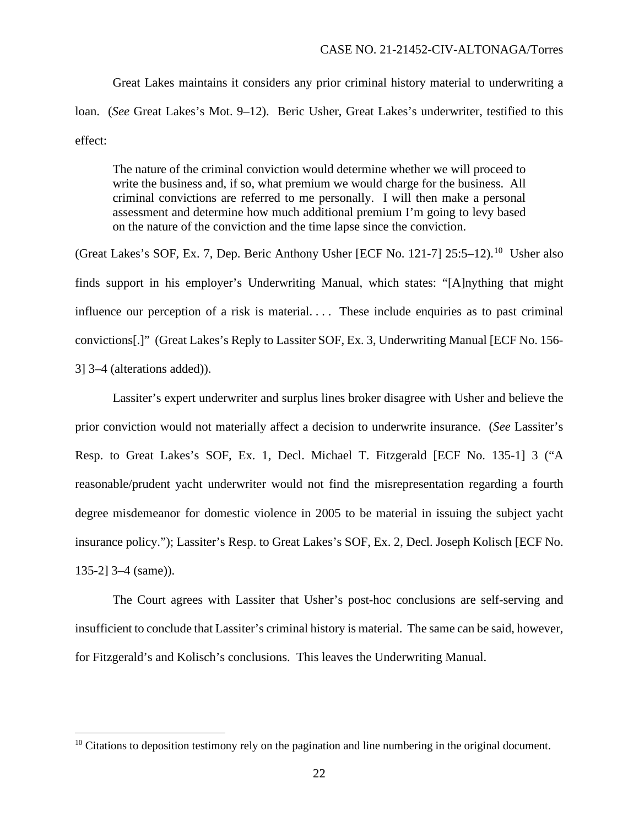Great Lakes maintains it considers any prior criminal history material to underwriting a loan. (*See* Great Lakes's Mot. 9–12). Beric Usher, Great Lakes's underwriter, testified to this effect:

The nature of the criminal conviction would determine whether we will proceed to write the business and, if so, what premium we would charge for the business. All criminal convictions are referred to me personally. I will then make a personal assessment and determine how much additional premium I'm going to levy based on the nature of the conviction and the time lapse since the conviction.

(Great Lakes's SOF, Ex. 7, Dep. Beric Anthony Usher [ECF No. 121-7]  $25:5-12$ ).<sup>10</sup> Usher also finds support in his employer's Underwriting Manual, which states: "[A]nything that might influence our perception of a risk is material.... These include enquiries as to past criminal convictions[.]" (Great Lakes's Reply to Lassiter SOF, Ex. 3, Underwriting Manual [ECF No. 156- 3] 3–4 (alterations added)).

Lassiter's expert underwriter and surplus lines broker disagree with Usher and believe the prior conviction would not materially affect a decision to underwrite insurance. (*See* Lassiter's Resp. to Great Lakes's SOF, Ex. 1, Decl. Michael T. Fitzgerald [ECF No. 135-1] 3 ("A reasonable/prudent yacht underwriter would not find the misrepresentation regarding a fourth degree misdemeanor for domestic violence in 2005 to be material in issuing the subject yacht insurance policy."); Lassiter's Resp. to Great Lakes's SOF, Ex. 2, Decl. Joseph Kolisch [ECF No. 135-2] 3–4 (same)).

The Court agrees with Lassiter that Usher's post-hoc conclusions are self-serving and insufficient to conclude that Lassiter's criminal history is material. The same can be said, however, for Fitzgerald's and Kolisch's conclusions. This leaves the Underwriting Manual.

 $10$  Citations to deposition testimony rely on the pagination and line numbering in the original document.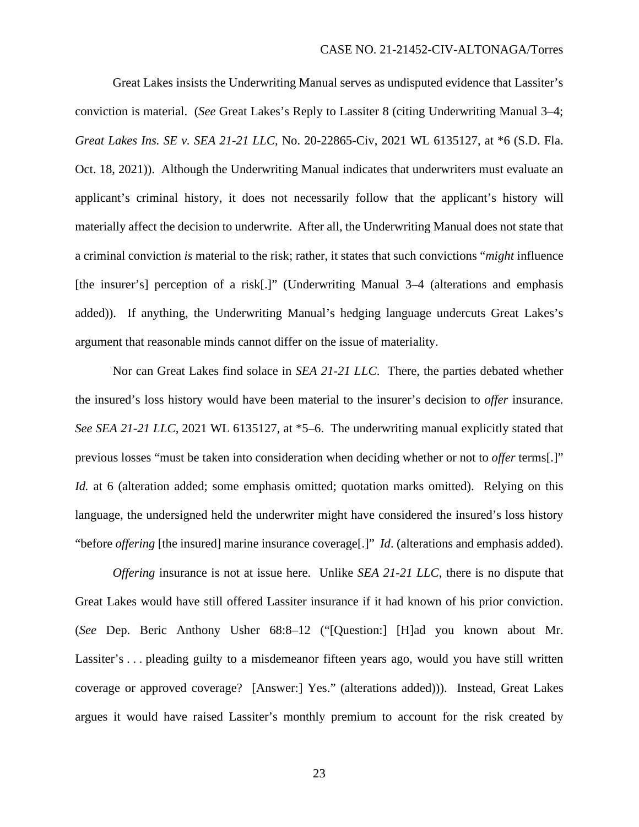Great Lakes insists the Underwriting Manual serves as undisputed evidence that Lassiter's conviction is material. (*See* Great Lakes's Reply to Lassiter 8 (citing Underwriting Manual 3–4; *Great Lakes Ins. SE v. SEA 21-21 LLC*, No. 20-22865-Civ, 2021 WL 6135127, at \*6 (S.D. Fla. Oct. 18, 2021)). Although the Underwriting Manual indicates that underwriters must evaluate an applicant's criminal history, it does not necessarily follow that the applicant's history will materially affect the decision to underwrite. After all, the Underwriting Manual does not state that a criminal conviction *is* material to the risk; rather, it states that such convictions "*might* influence [the insurer's] perception of a risk[.]" (Underwriting Manual 3–4 (alterations and emphasis added)). If anything, the Underwriting Manual's hedging language undercuts Great Lakes's argument that reasonable minds cannot differ on the issue of materiality.

Nor can Great Lakes find solace in *SEA 21-21 LLC*. There, the parties debated whether the insured's loss history would have been material to the insurer's decision to *offer* insurance. *See SEA 21-21 LLC*, 2021 WL 6135127, at \*5–6. The underwriting manual explicitly stated that previous losses "must be taken into consideration when deciding whether or not to *offer* terms[.]" *Id.* at 6 (alteration added; some emphasis omitted; quotation marks omitted). Relying on this language, the undersigned held the underwriter might have considered the insured's loss history "before *offering* [the insured] marine insurance coverage[.]" *Id*. (alterations and emphasis added).

*Offering* insurance is not at issue here. Unlike *SEA 21-21 LLC*, there is no dispute that Great Lakes would have still offered Lassiter insurance if it had known of his prior conviction. (*See* Dep. Beric Anthony Usher 68:8–12 ("[Question:] [H]ad you known about Mr. Lassiter's ... pleading guilty to a misdemeanor fifteen years ago, would you have still written coverage or approved coverage? [Answer:] Yes." (alterations added))). Instead, Great Lakes argues it would have raised Lassiter's monthly premium to account for the risk created by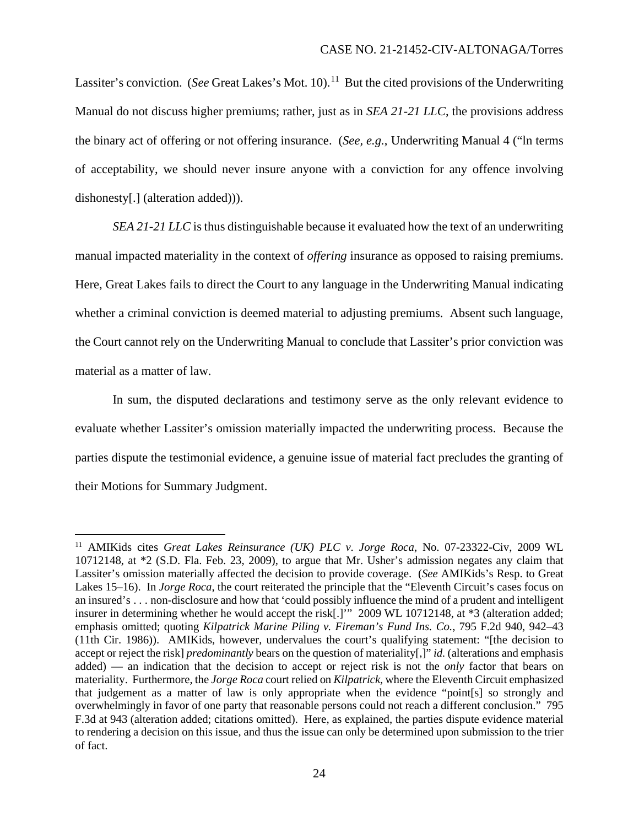Lassiter's conviction. (*See* Great Lakes's Mot. 10).<sup>11</sup> But the cited provisions of the Underwriting Manual do not discuss higher premiums; rather, just as in *SEA 21-21 LLC*, the provisions address the binary act of offering or not offering insurance. (*See, e.g.*, Underwriting Manual 4 ("ln terms of acceptability, we should never insure anyone with a conviction for any offence involving dishonesty[.] (alteration added))).

*SEA 21-21 LLC* is thus distinguishable because it evaluated how the text of an underwriting manual impacted materiality in the context of *offering* insurance as opposed to raising premiums. Here, Great Lakes fails to direct the Court to any language in the Underwriting Manual indicating whether a criminal conviction is deemed material to adjusting premiums. Absent such language, the Court cannot rely on the Underwriting Manual to conclude that Lassiter's prior conviction was material as a matter of law.

In sum, the disputed declarations and testimony serve as the only relevant evidence to evaluate whether Lassiter's omission materially impacted the underwriting process. Because the parties dispute the testimonial evidence, a genuine issue of material fact precludes the granting of their Motions for Summary Judgment.

<sup>11</sup> AMIKids cites *Great Lakes Reinsurance (UK) PLC v. Jorge Roca*, No. 07-23322-Civ, 2009 WL 10712148, at \*2 (S.D. Fla. Feb. 23, 2009), to argue that Mr. Usher's admission negates any claim that Lassiter's omission materially affected the decision to provide coverage. (*See* AMIKids's Resp. to Great Lakes 15–16). In *Jorge Roca*, the court reiterated the principle that the "Eleventh Circuit's cases focus on an insured's . . . non-disclosure and how that 'could possibly influence the mind of a prudent and intelligent insurer in determining whether he would accept the risk[.]'" 2009 WL 10712148, at \*3 (alteration added; emphasis omitted; quoting *Kilpatrick Marine Piling v. Fireman's Fund Ins. Co.*, 795 F.2d 940, 942–43 (11th Cir. 1986)). AMIKids, however, undervalues the court's qualifying statement: "[the decision to accept or reject the risk] *predominantly* bears on the question of materiality[,]" *id.* (alterations and emphasis added) — an indication that the decision to accept or reject risk is not the *only* factor that bears on materiality. Furthermore, the *Jorge Roca* court relied on *Kilpatrick*, where the Eleventh Circuit emphasized that judgement as a matter of law is only appropriate when the evidence "point[s] so strongly and overwhelmingly in favor of one party that reasonable persons could not reach a different conclusion." 795 F.3d at 943 (alteration added; citations omitted). Here, as explained, the parties dispute evidence material to rendering a decision on this issue, and thus the issue can only be determined upon submission to the trier of fact.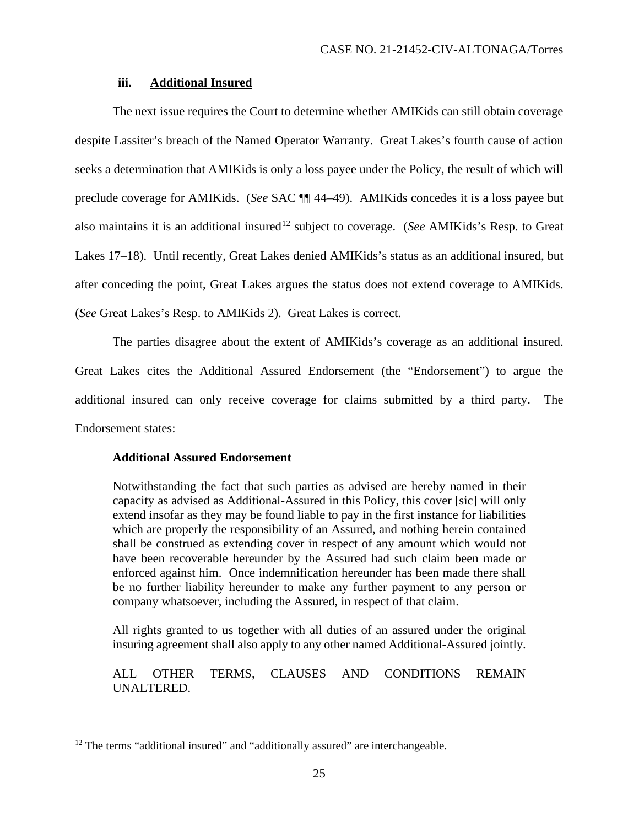## **iii. Additional Insured**

The next issue requires the Court to determine whether AMIKids can still obtain coverage despite Lassiter's breach of the Named Operator Warranty. Great Lakes's fourth cause of action seeks a determination that AMIKids is only a loss payee under the Policy, the result of which will preclude coverage for AMIKids. (*See* SAC ¶¶ 44–49). AMIKids concedes it is a loss payee but also maintains it is an additional insured<sup>12</sup> subject to coverage. (*See* AMIKids's Resp. to Great Lakes 17–18). Until recently, Great Lakes denied AMIKids's status as an additional insured, but after conceding the point, Great Lakes argues the status does not extend coverage to AMIKids. (*See* Great Lakes's Resp. to AMIKids 2). Great Lakes is correct.

The parties disagree about the extent of AMIKids's coverage as an additional insured. Great Lakes cites the Additional Assured Endorsement (the "Endorsement") to argue the additional insured can only receive coverage for claims submitted by a third party. The Endorsement states:

## **Additional Assured Endorsement**

Notwithstanding the fact that such parties as advised are hereby named in their capacity as advised as Additional-Assured in this Policy, this cover [sic] will only extend insofar as they may be found liable to pay in the first instance for liabilities which are properly the responsibility of an Assured, and nothing herein contained shall be construed as extending cover in respect of any amount which would not have been recoverable hereunder by the Assured had such claim been made or enforced against him. Once indemnification hereunder has been made there shall be no further liability hereunder to make any further payment to any person or company whatsoever, including the Assured, in respect of that claim.

All rights granted to us together with all duties of an assured under the original insuring agreement shall also apply to any other named Additional-Assured jointly.

# ALL OTHER TERMS, CLAUSES AND CONDITIONS REMAIN UNALTERED.

<sup>&</sup>lt;sup>12</sup> The terms "additional insured" and "additionally assured" are interchangeable.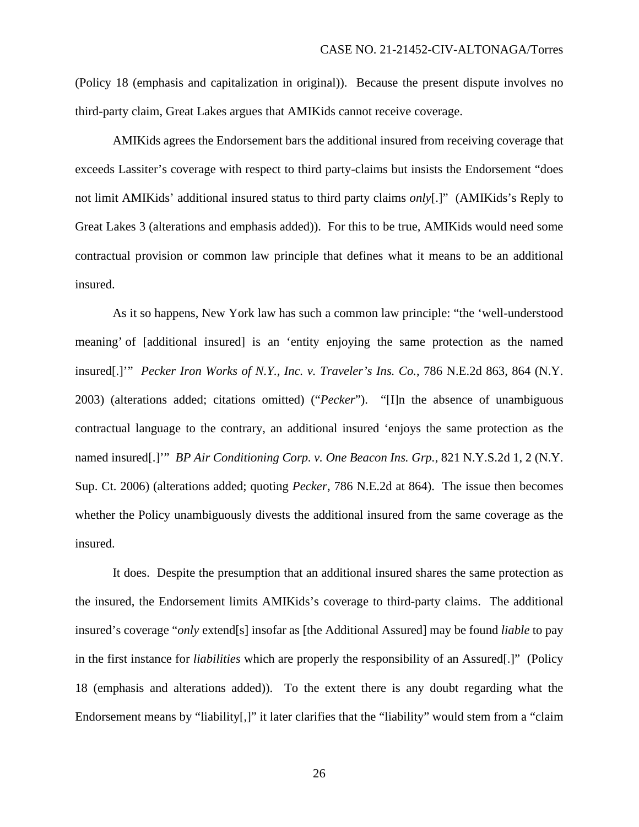(Policy 18 (emphasis and capitalization in original)). Because the present dispute involves no third-party claim, Great Lakes argues that AMIKids cannot receive coverage.

AMIKids agrees the Endorsement bars the additional insured from receiving coverage that exceeds Lassiter's coverage with respect to third party-claims but insists the Endorsement "does not limit AMIKids' additional insured status to third party claims *only*[.]" (AMIKids's Reply to Great Lakes 3 (alterations and emphasis added)). For this to be true, AMIKids would need some contractual provision or common law principle that defines what it means to be an additional insured.

As it so happens, New York law has such a common law principle: "the 'well-understood meaning' of [additional insured] is an 'entity enjoying the same protection as the named insured[.]'" *Pecker Iron Works of N.Y., Inc. v. Traveler's Ins. Co.*, 786 N.E.2d 863, 864 (N.Y. 2003) (alterations added; citations omitted) ("*Pecker*"). "[I]n the absence of unambiguous contractual language to the contrary, an additional insured 'enjoys the same protection as the named insured[.]'" *BP Air Conditioning Corp. v. One Beacon Ins. Grp.*, 821 N.Y.S.2d 1, 2 (N.Y. Sup. Ct. 2006) (alterations added; quoting *Pecker*, 786 N.E.2d at 864). The issue then becomes whether the Policy unambiguously divests the additional insured from the same coverage as the insured.

It does. Despite the presumption that an additional insured shares the same protection as the insured, the Endorsement limits AMIKids's coverage to third-party claims. The additional insured's coverage "*only* extend[s] insofar as [the Additional Assured] may be found *liable* to pay in the first instance for *liabilities* which are properly the responsibility of an Assured[.]" (Policy 18 (emphasis and alterations added)). To the extent there is any doubt regarding what the Endorsement means by "liability[,]" it later clarifies that the "liability" would stem from a "claim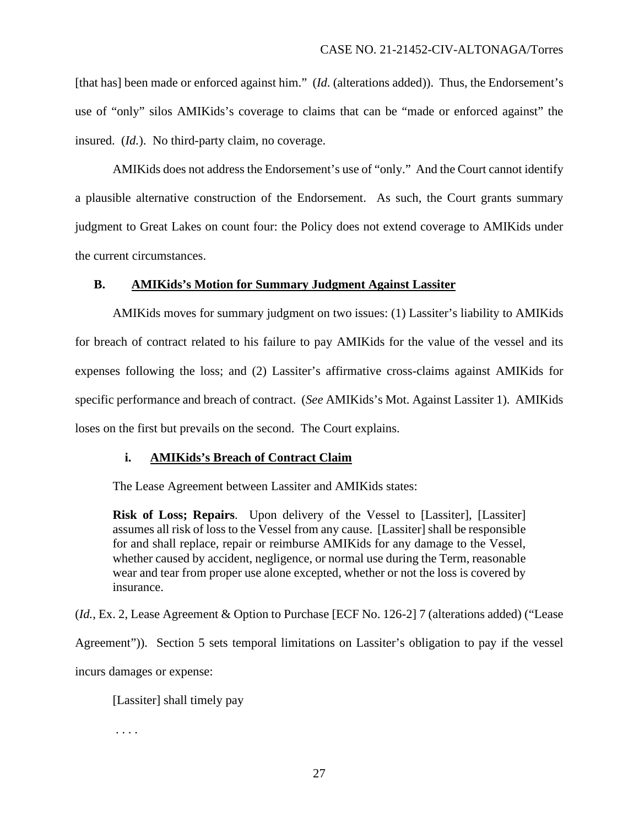[that has] been made or enforced against him." (*Id.* (alterations added)). Thus, the Endorsement's use of "only" silos AMIKids's coverage to claims that can be "made or enforced against" the insured. (*Id.*). No third-party claim, no coverage.

AMIKids does not address the Endorsement's use of "only." And the Court cannot identify a plausible alternative construction of the Endorsement. As such, the Court grants summary judgment to Great Lakes on count four: the Policy does not extend coverage to AMIKids under the current circumstances.

# **B. AMIKids's Motion for Summary Judgment Against Lassiter**

AMIKids moves for summary judgment on two issues: (1) Lassiter's liability to AMIKids for breach of contract related to his failure to pay AMIKids for the value of the vessel and its expenses following the loss; and (2) Lassiter's affirmative cross-claims against AMIKids for specific performance and breach of contract. (*See* AMIKids's Mot. Against Lassiter 1). AMIKids loses on the first but prevails on the second. The Court explains.

# **i. AMIKids's Breach of Contract Claim**

The Lease Agreement between Lassiter and AMIKids states:

**Risk of Loss; Repairs**. Upon delivery of the Vessel to [Lassiter], [Lassiter] assumes all risk of loss to the Vessel from any cause. [Lassiter] shall be responsible for and shall replace, repair or reimburse AMIKids for any damage to the Vessel, whether caused by accident, negligence, or normal use during the Term, reasonable wear and tear from proper use alone excepted, whether or not the loss is covered by insurance.

(*Id.*, Ex. 2, Lease Agreement & Option to Purchase [ECF No. 126-2] 7 (alterations added) ("Lease Agreement")). Section 5 sets temporal limitations on Lassiter's obligation to pay if the vessel incurs damages or expense:

[Lassiter] shall timely pay

. . . .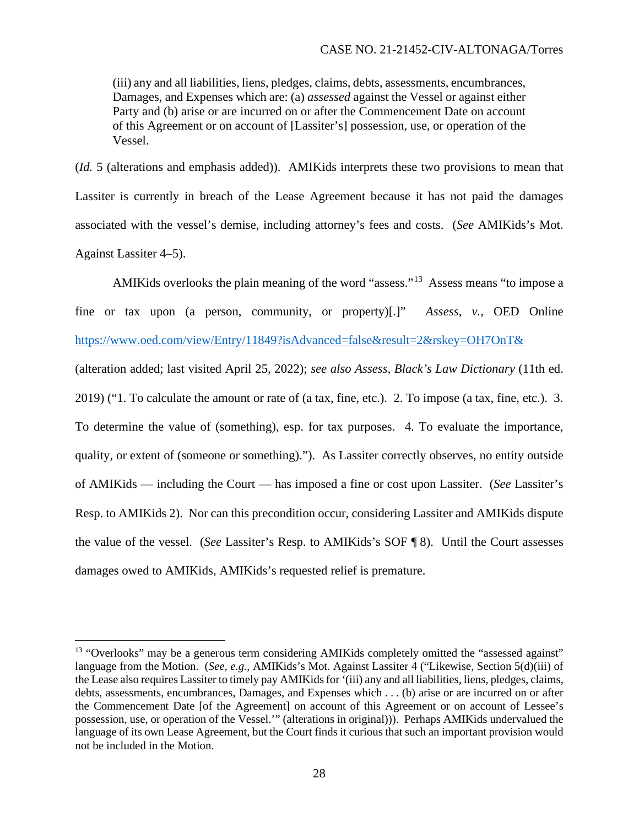(iii) any and all liabilities, liens, pledges, claims, debts, assessments, encumbrances, Damages, and Expenses which are: (a) *assessed* against the Vessel or against either Party and (b) arise or are incurred on or after the Commencement Date on account of this Agreement or on account of [Lassiter's] possession, use, or operation of the Vessel.

(*Id.* 5 (alterations and emphasis added)). AMIKids interprets these two provisions to mean that Lassiter is currently in breach of the Lease Agreement because it has not paid the damages associated with the vessel's demise, including attorney's fees and costs. (*See* AMIKids's Mot. Against Lassiter 4–5).

AMIKids overlooks the plain meaning of the word "assess."13 Assess means "to impose a fine or tax upon (a person, community, or property)[.]" *Assess, v.*, OED Online https://www.oed.com/view/Entry/11849?isAdvanced=false&result=2&rskey=OH7OnT& (alteration added; last visited April 25, 2022); *see also Assess, Black's Law Dictionary* (11th ed. 2019) ("1. To calculate the amount or rate of (a tax, fine, etc.). 2. To impose (a tax, fine, etc.). 3. To determine the value of (something), esp. for tax purposes. 4. To evaluate the importance, quality, or extent of (someone or something)."). As Lassiter correctly observes, no entity outside of AMIKids — including the Court — has imposed a fine or cost upon Lassiter. (*See* Lassiter's Resp. to AMIKids 2). Nor can this precondition occur, considering Lassiter and AMIKids dispute the value of the vessel. (*See* Lassiter's Resp. to AMIKids's SOF ¶ 8). Until the Court assesses damages owed to AMIKids, AMIKids's requested relief is premature.

<sup>&</sup>lt;sup>13</sup> "Overlooks" may be a generous term considering AMIKids completely omitted the "assessed against" language from the Motion. (*See, e.g.*, AMIKids's Mot. Against Lassiter 4 ("Likewise, Section 5(d)(iii) of the Lease also requires Lassiter to timely pay AMIKids for '(iii) any and all liabilities, liens, pledges, claims, debts, assessments, encumbrances, Damages, and Expenses which . . . (b) arise or are incurred on or after the Commencement Date [of the Agreement] on account of this Agreement or on account of Lessee's possession, use, or operation of the Vessel.'" (alterations in original))). Perhaps AMIKids undervalued the language of its own Lease Agreement, but the Court finds it curious that such an important provision would not be included in the Motion.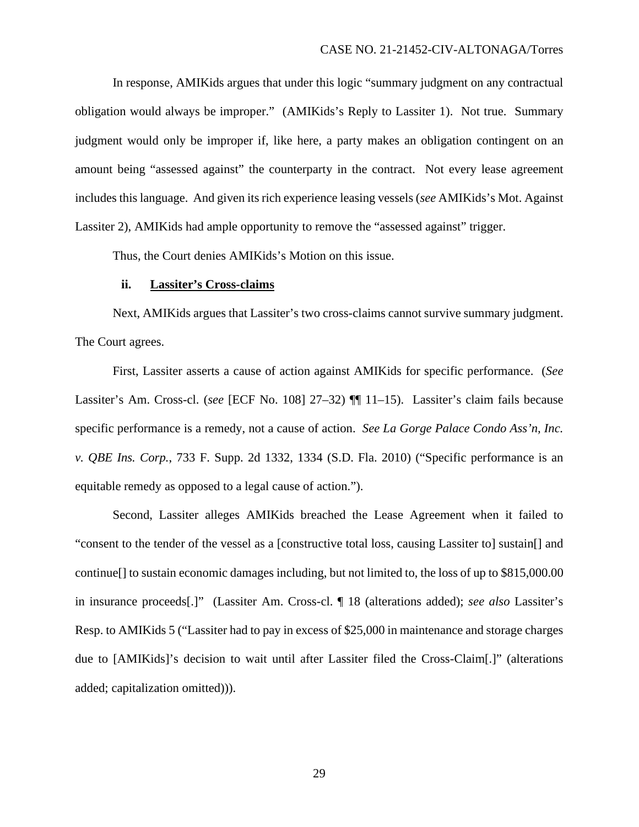In response, AMIKids argues that under this logic "summary judgment on any contractual obligation would always be improper." (AMIKids's Reply to Lassiter 1). Not true. Summary judgment would only be improper if, like here, a party makes an obligation contingent on an amount being "assessed against" the counterparty in the contract. Not every lease agreement includes this language. And given its rich experience leasing vessels (*see* AMIKids's Mot. Against Lassiter 2), AMIKids had ample opportunity to remove the "assessed against" trigger.

Thus, the Court denies AMIKids's Motion on this issue.

#### **ii. Lassiter's Cross-claims**

Next, AMIKids argues that Lassiter's two cross-claims cannot survive summary judgment. The Court agrees.

First, Lassiter asserts a cause of action against AMIKids for specific performance. (*See* Lassiter's Am. Cross-cl. (*see* [ECF No. 108] 27–32) ¶¶ 11–15). Lassiter's claim fails because specific performance is a remedy, not a cause of action. *See La Gorge Palace Condo Ass'n, Inc. v. QBE Ins. Corp.*, 733 F. Supp. 2d 1332, 1334 (S.D. Fla. 2010) ("Specific performance is an equitable remedy as opposed to a legal cause of action.").

Second, Lassiter alleges AMIKids breached the Lease Agreement when it failed to "consent to the tender of the vessel as a [constructive total loss, causing Lassiter to] sustain[] and continue[] to sustain economic damages including, but not limited to, the loss of up to \$815,000.00 in insurance proceeds[.]" (Lassiter Am. Cross-cl. ¶ 18 (alterations added); *see also* Lassiter's Resp. to AMIKids 5 ("Lassiter had to pay in excess of \$25,000 in maintenance and storage charges due to [AMIKids]'s decision to wait until after Lassiter filed the Cross-Claim[.]" (alterations added; capitalization omitted))).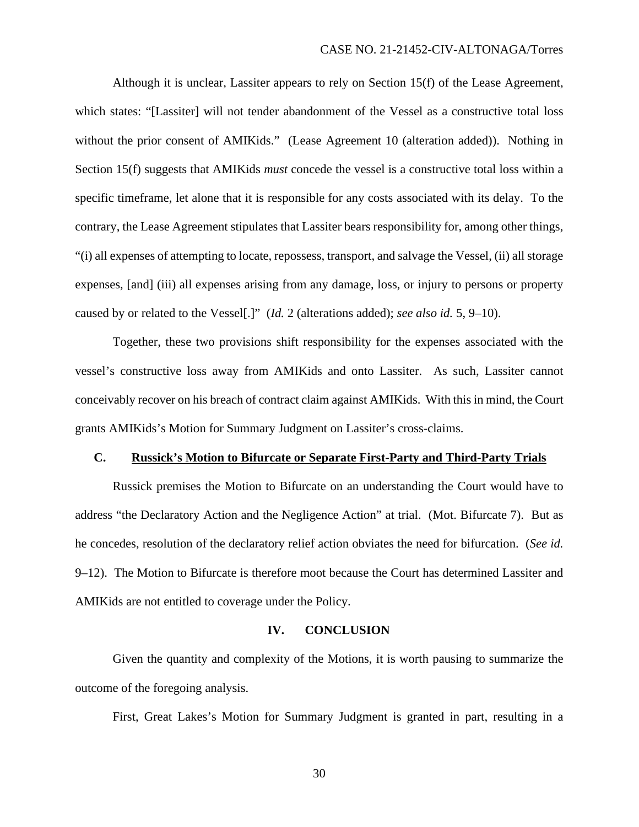Although it is unclear, Lassiter appears to rely on Section 15(f) of the Lease Agreement, which states: "[Lassiter] will not tender abandonment of the Vessel as a constructive total loss without the prior consent of AMIKids." (Lease Agreement 10 (alteration added)). Nothing in Section 15(f) suggests that AMIKids *must* concede the vessel is a constructive total loss within a specific timeframe, let alone that it is responsible for any costs associated with its delay. To the contrary, the Lease Agreement stipulates that Lassiter bears responsibility for, among other things, "(i) all expenses of attempting to locate, repossess, transport, and salvage the Vessel, (ii) all storage expenses, [and] (iii) all expenses arising from any damage, loss, or injury to persons or property caused by or related to the Vessel[.]" (*Id.* 2 (alterations added); *see also id.* 5, 9–10).

Together, these two provisions shift responsibility for the expenses associated with the vessel's constructive loss away from AMIKids and onto Lassiter. As such, Lassiter cannot conceivably recover on his breach of contract claim against AMIKids. With this in mind, the Court grants AMIKids's Motion for Summary Judgment on Lassiter's cross-claims.

### **C. Russick's Motion to Bifurcate or Separate First-Party and Third-Party Trials**

Russick premises the Motion to Bifurcate on an understanding the Court would have to address "the Declaratory Action and the Negligence Action" at trial. (Mot. Bifurcate 7). But as he concedes, resolution of the declaratory relief action obviates the need for bifurcation. (*See id.*  9–12). The Motion to Bifurcate is therefore moot because the Court has determined Lassiter and AMIKids are not entitled to coverage under the Policy.

### **IV. CONCLUSION**

Given the quantity and complexity of the Motions, it is worth pausing to summarize the outcome of the foregoing analysis.

First, Great Lakes's Motion for Summary Judgment is granted in part, resulting in a

30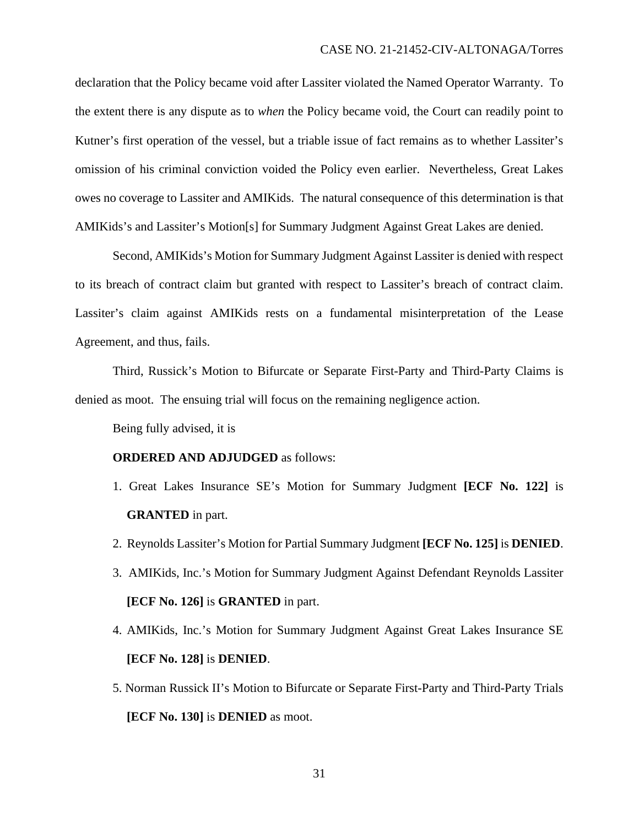declaration that the Policy became void after Lassiter violated the Named Operator Warranty. To the extent there is any dispute as to *when* the Policy became void, the Court can readily point to Kutner's first operation of the vessel, but a triable issue of fact remains as to whether Lassiter's omission of his criminal conviction voided the Policy even earlier. Nevertheless, Great Lakes owes no coverage to Lassiter and AMIKids. The natural consequence of this determination is that AMIKids's and Lassiter's Motion[s] for Summary Judgment Against Great Lakes are denied.

Second, AMIKids's Motion for Summary Judgment Against Lassiter is denied with respect to its breach of contract claim but granted with respect to Lassiter's breach of contract claim. Lassiter's claim against AMIKids rests on a fundamental misinterpretation of the Lease Agreement, and thus, fails.

Third, Russick's Motion to Bifurcate or Separate First-Party and Third-Party Claims is denied as moot. The ensuing trial will focus on the remaining negligence action.

Being fully advised, it is

# **ORDERED AND ADJUDGED** as follows:

- 1. Great Lakes Insurance SE's Motion for Summary Judgment **[ECF No. 122]** is **GRANTED** in part.
- 2. Reynolds Lassiter's Motion for Partial Summary Judgment **[ECF No. 125]** is **DENIED**.
- 3. AMIKids, Inc.'s Motion for Summary Judgment Against Defendant Reynolds Lassiter **[ECF No. 126]** is **GRANTED** in part.
- 4. AMIKids, Inc.'s Motion for Summary Judgment Against Great Lakes Insurance SE **[ECF No. 128]** is **DENIED**.
- 5. Norman Russick II's Motion to Bifurcate or Separate First-Party and Third-Party Trials **[ECF No. 130]** is **DENIED** as moot.